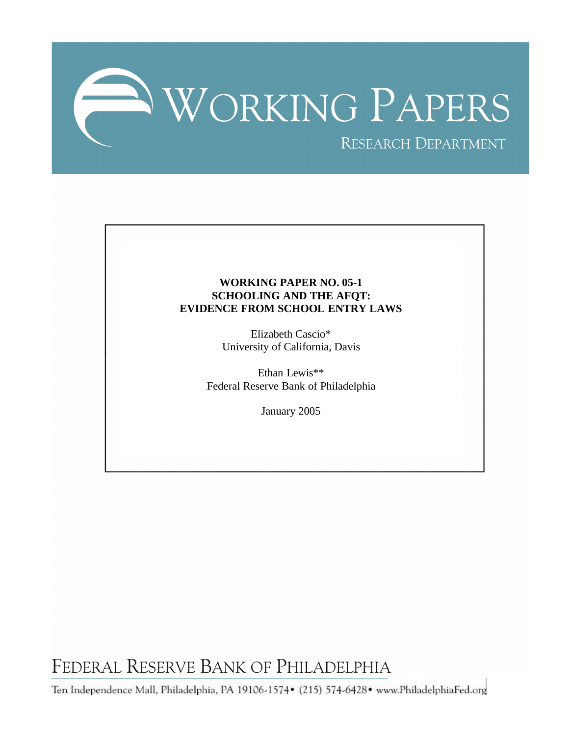

## **WORKING PAPER NO. 05-1 SCHOOLING AND THE AFQT: EVIDENCE FROM SCHOOL ENTRY LAWS**

Elizabeth Cascio\* University of California, Davis

Ethan Lewis\*\* Federal Reserve Bank of Philadelphia

January 2005

FEDERAL RESERVE BANK OF PHILADELPHIA

Ten Independence Mall, Philadelphia, PA 19106-1574• (215) 574-6428• www.PhiladelphiaFed.org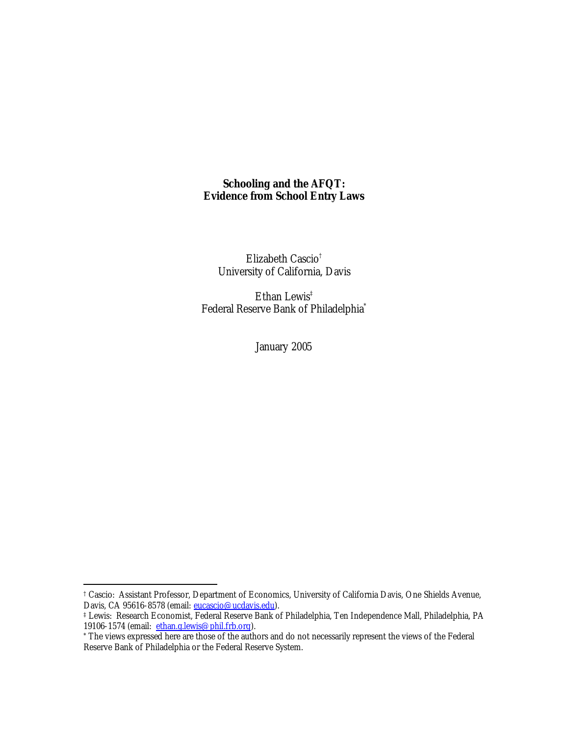## **Schooling and the AFQT: Evidence from School Entry Laws**

Elizabeth Cascio† University of California, Davis

Ethan Lewis<sup>‡</sup> Federal Reserve Bank of Philadelphia\*

January 2005

<sup>†</sup> Cascio: Assistant Professor, Department of Economics, University of California Davis, One Shields Avenue, Davis, CA 95616-8578 (email: eucascio@ucdavis.edu).

<sup>‡</sup> Lewis: Research Economist, Federal Reserve Bank of Philadelphia, Ten Independence Mall, Philadelphia, PA 19106-1574 (email: ethan.g.lewis@phil.frb.org).

<sup>\*</sup> The views expressed here are those of the authors and do not necessarily represent the views of the Federal Reserve Bank of Philadelphia or the Federal Reserve System.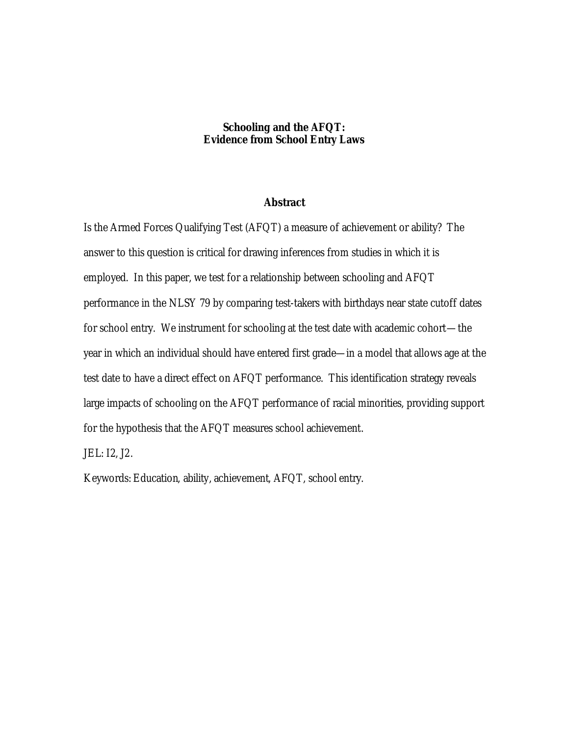## **Schooling and the AFQT: Evidence from School Entry Laws**

## **Abstract**

Is the Armed Forces Qualifying Test (AFQT) a measure of achievement or ability? The answer to this question is critical for drawing inferences from studies in which it is employed. In this paper, we test for a relationship between schooling and AFQT performance in the NLSY 79 by comparing test-takers with birthdays near state cutoff dates for school entry. We instrument for schooling at the test date with academic cohort—the year in which an individual should have entered first grade—in a model that allows age at the test date to have a direct effect on AFQT performance. This identification strategy reveals large impacts of schooling on the AFQT performance of racial minorities, providing support for the hypothesis that the AFQT measures school achievement.

JEL: I2, J2.

Keywords: Education, ability, achievement, AFQT, school entry.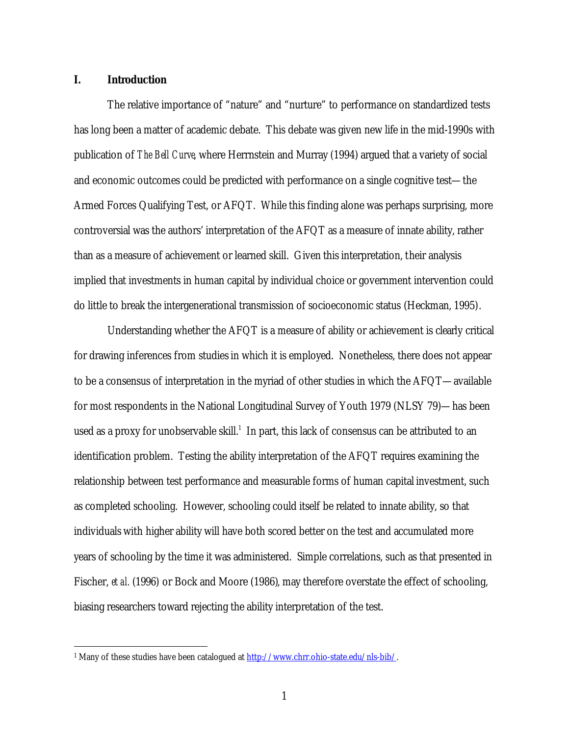## **I. Introduction**

 $\overline{a}$ 

The relative importance of "nature" and "nurture" to performance on standardized tests has long been a matter of academic debate. This debate was given new life in the mid-1990s with publication of *The Bell Curve*, where Herrnstein and Murray (1994) argued that a variety of social and economic outcomes could be predicted with performance on a single cognitive test—the Armed Forces Qualifying Test, or AFQT. While this finding alone was perhaps surprising, more controversial was the authors' interpretation of the AFQT as a measure of innate ability, rather than as a measure of achievement or learned skill. Given this interpretation, their analysis implied that investments in human capital by individual choice or government intervention could do little to break the intergenerational transmission of socioeconomic status (Heckman, 1995).

Understanding whether the AFQT is a measure of ability or achievement is clearly critical for drawing inferences from studies in which it is employed. Nonetheless, there does not appear to be a consensus of interpretation in the myriad of other studies in which the AFQT—available for most respondents in the National Longitudinal Survey of Youth 1979 (NLSY 79)—has been used as a proxy for unobservable skill. $<sup>1</sup>$  In part, this lack of consensus can be attributed to an</sup> identification problem. Testing the ability interpretation of the AFQT requires examining the relationship between test performance and measurable forms of human capital investment, such as completed schooling. However, schooling could itself be related to innate ability, so that individuals with higher ability will have both scored better on the test and accumulated more years of schooling by the time it was administered. Simple correlations, such as that presented in Fischer, *et al.* (1996) or Bock and Moore (1986), may therefore overstate the effect of schooling, biasing researchers toward rejecting the ability interpretation of the test.

<sup>&</sup>lt;sup>1</sup> Many of these studies have been catalogued at http://www.chrr.ohio-state.edu/nls-bib/.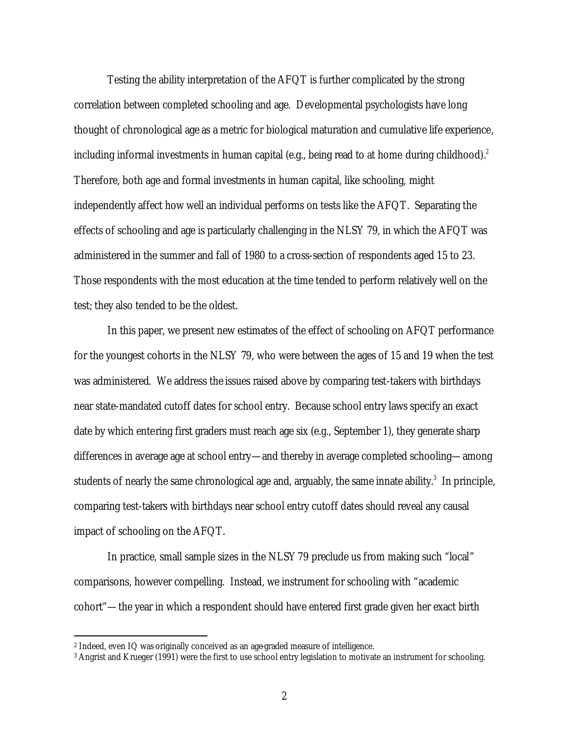Testing the ability interpretation of the AFQT is further complicated by the strong correlation between completed schooling and age. Developmental psychologists have long thought of chronological age as a metric for biological maturation and cumulative life experience, including informal investments in human capital (e.g., being read to at home during childhood). $^2$ Therefore, both age and formal investments in human capital, like schooling, might independently affect how well an individual performs on tests like the AFQT. Separating the effects of schooling and age is particularly challenging in the NLSY 79, in which the AFQT was administered in the summer and fall of 1980 to a cross-section of respondents aged 15 to 23. Those respondents with the most education at the time tended to perform relatively well on the test; they also tended to be the oldest.

In this paper, we present new estimates of the effect of schooling on AFQT performance for the youngest cohorts in the NLSY 79, who were between the ages of 15 and 19 when the test was administered. We address the issues raised above by comparing test-takers with birthdays near state-mandated cutoff dates for school entry. Because school entry laws specify an exact date by which entering first graders must reach age six (e.g., September 1), they generate sharp differences in average age at school entry—and thereby in average completed schooling—among students of nearly the same chronological age and, arguably, the same innate ability. $^3\,$  In principle, comparing test-takers with birthdays near school entry cutoff dates should reveal any causal impact of schooling on the AFQT.

In practice, small sample sizes in the NLSY 79 preclude us from making such "local" comparisons, however compelling. Instead, we instrument for schooling with "academic cohort"—the year in which a respondent should have entered first grade given her exact birth

<sup>2</sup> Indeed, even IQ was originally conceived as an age-graded measure of intelligence.

<sup>3</sup> Angrist and Krueger (1991) were the first to use school entry legislation to motivate an instrument for schooling.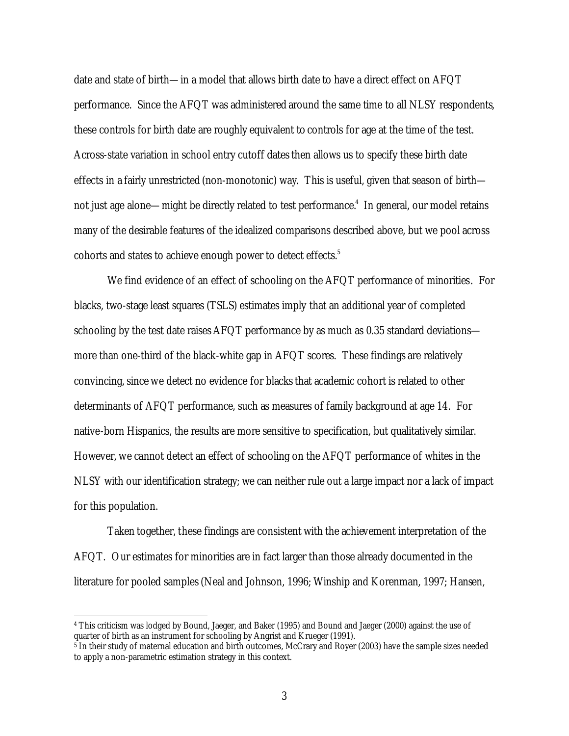date and state of birth—in a model that allows birth date to have a direct effect on AFQT performance. Since the AFQT was administered around the same time to all NLSY respondents, these controls for birth date are roughly equivalent to controls for age at the time of the test. Across-state variation in school entry cutoff dates then allows us to specify these birth date effects in a fairly unrestricted (non-monotonic) way. This is useful, given that season of birth not just age alone—might be directly related to test performance. $4\,$  In general, our model retains many of the desirable features of the idealized comparisons described above, but we pool across cohorts and states to achieve enough power to detect effects.<sup>5</sup>

We find evidence of an effect of schooling on the AFQT performance of minorities. For blacks, two-stage least squares (TSLS) estimates imply that an additional year of completed schooling by the test date raises AFQT performance by as much as 0.35 standard deviations more than one-third of the black-white gap in AFQT scores. These findings are relatively convincing, since we detect no evidence for blacks that academic cohort is related to other determinants of AFQT performance, such as measures of family background at age 14. For native-born Hispanics, the results are more sensitive to specification, but qualitatively similar. However, we cannot detect an effect of schooling on the AFQT performance of whites in the NLSY with our identification strategy; we can neither rule out a large impact nor a lack of impact for this population.

Taken together, these findings are consistent with the achievement interpretation of the AFQT. Our estimates for minorities are in fact larger than those already documented in the literature for pooled samples (Neal and Johnson, 1996; Winship and Korenman, 1997; Hansen,

<sup>4</sup> This criticism was lodged by Bound, Jaeger, and Baker (1995) and Bound and Jaeger (2000) against the use of quarter of birth as an instrument for schooling by Angrist and Krueger (1991).

 $\frac{1}{2}$  In their study of maternal education and birth outcomes, McCrary and Royer (2003) have the sample sizes needed to apply a non-parametric estimation strategy in this context.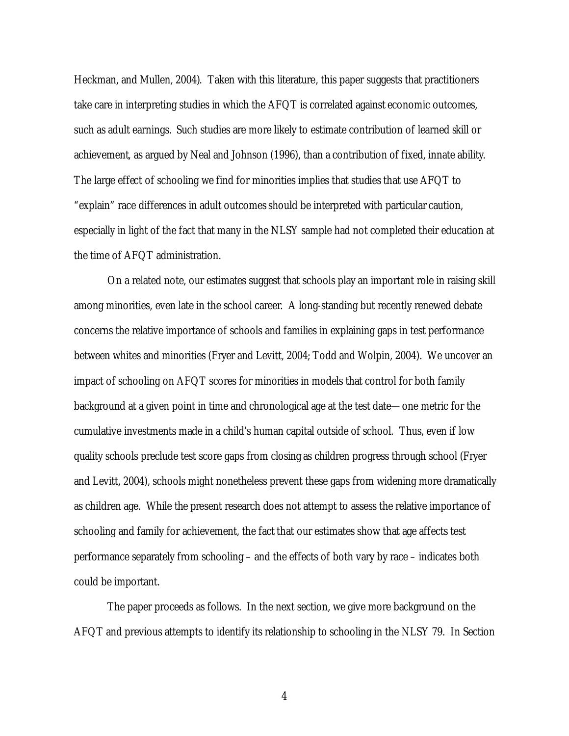Heckman, and Mullen, 2004). Taken with this literature, this paper suggests that practitioners take care in interpreting studies in which the AFQT is correlated against economic outcomes, such as adult earnings. Such studies are more likely to estimate contribution of learned skill or achievement, as argued by Neal and Johnson (1996), than a contribution of fixed, innate ability. The large effect of schooling we find for minorities implies that studies that use AFQT to "explain" race differences in adult outcomes should be interpreted with particular caution, especially in light of the fact that many in the NLSY sample had not completed their education at the time of AFQT administration.

On a related note, our estimates suggest that schools play an important role in raising skill among minorities, even late in the school career. A long-standing but recently renewed debate concerns the relative importance of schools and families in explaining gaps in test performance between whites and minorities (Fryer and Levitt, 2004; Todd and Wolpin, 2004). We uncover an impact of schooling on AFQT scores for minorities in models that control for both family background at a given point in time and chronological age at the test date—one metric for the cumulative investments made in a child's human capital outside of school. Thus, even if low quality schools preclude test score gaps from closing as children progress through school (Fryer and Levitt, 2004), schools might nonetheless prevent these gaps from widening more dramatically as children age. While the present research does not attempt to assess the relative importance of schooling and family for achievement, the fact that our estimates show that age affects test performance separately from schooling – and the effects of both vary by race – indicates both could be important.

The paper proceeds as follows. In the next section, we give more background on the AFQT and previous attempts to identify its relationship to schooling in the NLSY 79. In Section

4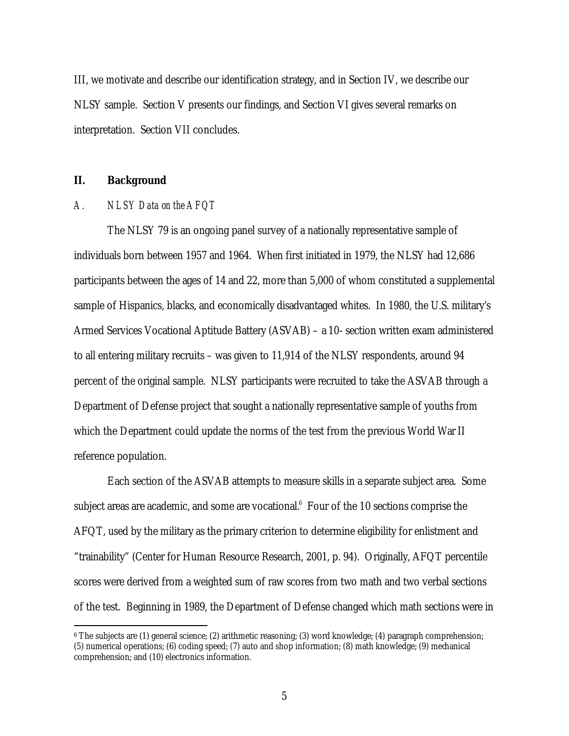III, we motivate and describe our identification strategy, and in Section IV, we describe our NLSY sample. Section V presents our findings, and Section VI gives several remarks on interpretation. Section VII concludes.

## **II. Background**

 $\overline{a}$ 

## *A. NLSY Data on the AFQT*

The NLSY 79 is an ongoing panel survey of a nationally representative sample of individuals born between 1957 and 1964. When first initiated in 1979, the NLSY had 12,686 participants between the ages of 14 and 22, more than 5,000 of whom constituted a supplemental sample of Hispanics, blacks, and economically disadvantaged whites. In 1980, the U.S. military's Armed Services Vocational Aptitude Battery (ASVAB) – a 10- section written exam administered to all entering military recruits – was given to 11,914 of the NLSY respondents, around 94 percent of the original sample. NLSY participants were recruited to take the ASVAB through a Department of Defense project that sought a nationally representative sample of youths from which the Department could update the norms of the test from the previous World War II reference population.

Each section of the ASVAB attempts to measure skills in a separate subject area. Some subject areas are academic, and some are vocational. $6$  Four of the 10 sections comprise the AFQT, used by the military as the primary criterion to determine eligibility for enlistment and "trainability" (Center for Human Resource Research, 2001, p. 94). Originally, AFQT percentile scores were derived from a weighted sum of raw scores from two math and two verbal sections of the test. Beginning in 1989, the Department of Defense changed which math sections were in

<sup>6</sup> The subjects are (1) general science; (2) arithmetic reasoning; (3) word knowledge; (4) paragraph comprehension; (5) numerical operations; (6) coding speed; (7) auto and shop information; (8) math knowledge; (9) mechanical comprehension; and (10) electronics information.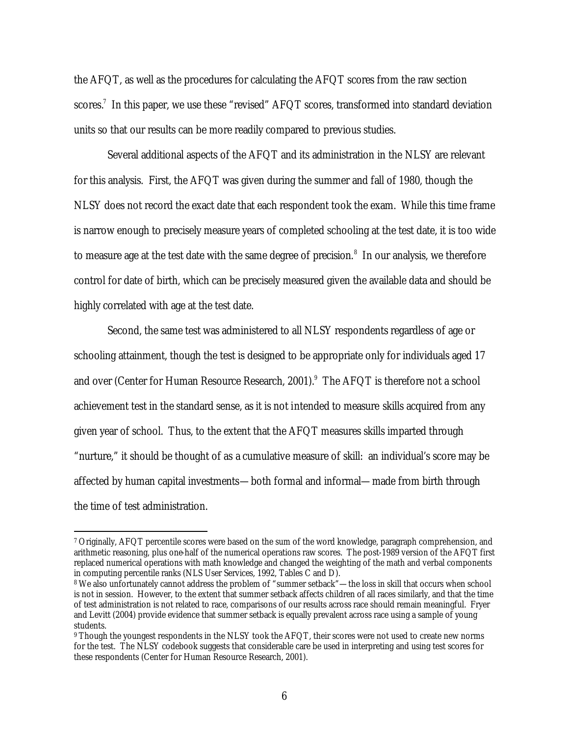the AFQT, as well as the procedures for calculating the AFQT scores from the raw section scores.<sup>7</sup> In this paper, we use these "revised" AFQT scores, transformed into standard deviation units so that our results can be more readily compared to previous studies.

Several additional aspects of the AFQT and its administration in the NLSY are relevant for this analysis. First, the AFQT was given during the summer and fall of 1980, though the NLSY does not record the exact date that each respondent took the exam. While this time frame is narrow enough to precisely measure years of completed schooling at the test date, it is too wide to measure age at the test date with the same degree of precision. $8\,$  In our analysis, we therefore control for date of birth, which can be precisely measured given the available data and should be highly correlated with age at the test date.

Second, the same test was administered to all NLSY respondents regardless of age or schooling attainment, though the test is designed to be appropriate only for individuals aged 17 and over (Center for Human Resource Research, 2001).<sup>9</sup> The AFQT is therefore not a school achievement test in the standard sense, as it is not intended to measure skills acquired from any given year of school. Thus, to the extent that the AFQT measures skills imparted through "nurture," it should be thought of as a cumulative measure of skill: an individual's score may be affected by human capital investments—both formal and informal—made from birth through the time of test administration.

<sup>7</sup> Originally, AFQT percentile scores were based on the sum of the word knowledge, paragraph comprehension, and arithmetic reasoning, plus one-half of the numerical operations raw scores. The post-1989 version of the AFQT first replaced numerical operations with math knowledge and changed the weighting of the math and verbal components in computing percentile ranks (NLS User Services, 1992, Tables C and D).

<sup>8</sup> We also unfortunately cannot address the problem of "summer setback"—the loss in skill that occurs when school is not in session. However, to the extent that summer setback affects children of all races similarly, and that the time of test administration is not related to race, comparisons of our results across race should remain meaningful. Fryer and Levitt (2004) provide evidence that summer setback is equally prevalent across race using a sample of young students.

<sup>9</sup> Though the youngest respondents in the NLSY took the AFQT, their scores were not used to create new norms for the test. The NLSY codebook suggests that considerable care be used in interpreting and using test scores for these respondents (Center for Human Resource Research, 2001).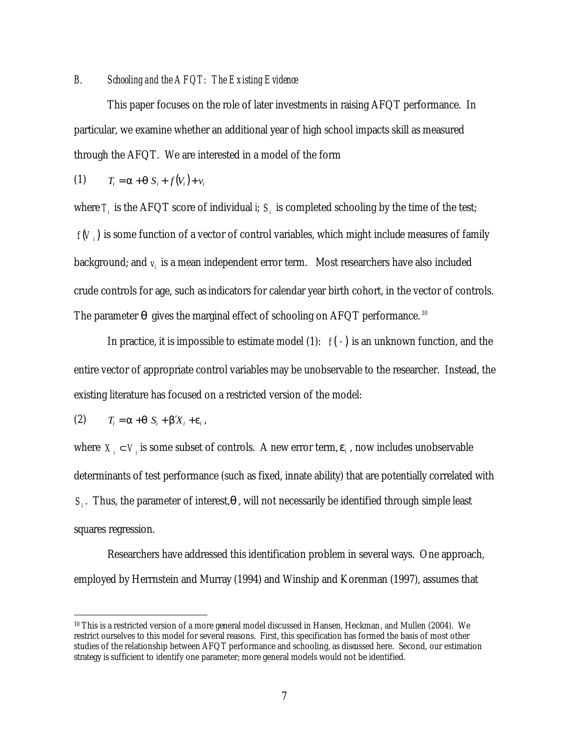#### *B. Schooling and the AFQT: The Existing Evidence*

This paper focuses on the role of later investments in raising AFQT performance. In particular, we examine whether an additional year of high school impacts skill as measured through the AFQT. We are interested in a model of the form

$$
(1) \qquad T_i = \mathbf{a} + \mathbf{q} \ S_i + f(V_i) + v_i
$$

where  $T_i$  is the AFQT score of individual *i*;  $S_i$  is completed schooling by the time of the test;  $f(V_i)$  is some function of a vector of control variables, which might include measures of family background; and  $v_i$  is a mean independent error term. Most researchers have also included crude controls for age, such as indicators for calendar year birth cohort, in the vector of controls. The parameter  $\bm{q}$  gives the marginal effect of schooling on AFQT performance.  $^{10}$ 

In practice, it is impossible to estimate model (1):  $f(\cdot)$  is an unknown function, and the entire vector of appropriate control variables may be unobservable to the researcher. Instead, the existing literature has focused on a restricted version of the model:

$$
(2) \tT_i = \mathbf{a} + \mathbf{q} S_i + \mathbf{b}' X_i + \mathbf{e}_i,
$$

 $\overline{a}$ 

where  $X_i \subset V_i$  is some subset of controls. A new error term,  $e_i$ , now includes unobservable determinants of test performance (such as fixed, innate ability) that are potentially correlated with  $S_i$ . Thus, the parameter of interest, $\boldsymbol{q}$ , will not necessarily be identified through simple least squares regression.

Researchers have addressed this identification problem in several ways. One approach, employed by Herrnstein and Murray (1994) and Winship and Korenman (1997), assumes that

<sup>10</sup> This is a restricted version of a more general model discussed in Hansen, Heckman, and Mullen (2004). We restrict ourselves to this model for several reasons. First, this specification has formed the basis of most other studies of the relationship between AFQT performance and schooling, as discussed here. Second, our estimation strategy is sufficient to identify one parameter; more general models would not be identified.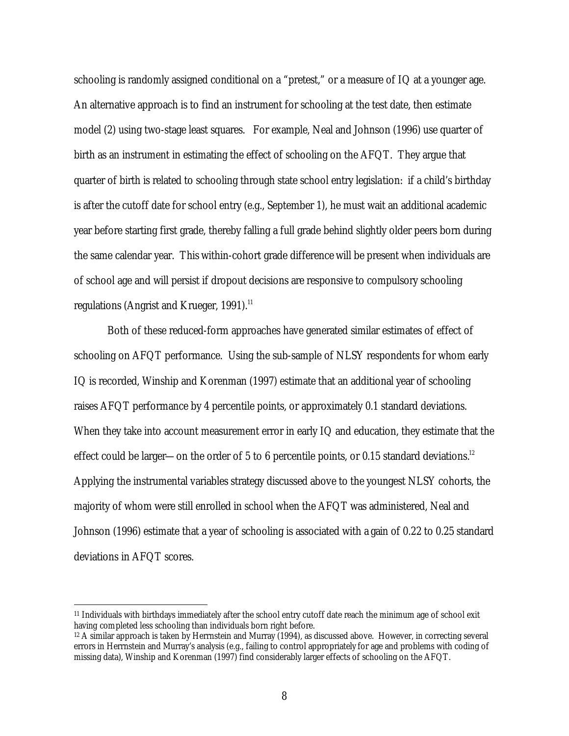schooling is randomly assigned conditional on a "pretest," or a measure of IQ at a younger age. An alternative approach is to find an instrument for schooling at the test date, then estimate model (2) using two-stage least squares. For example, Neal and Johnson (1996) use quarter of birth as an instrument in estimating the effect of schooling on the AFQT. They argue that quarter of birth is related to schooling through state school entry legislation: if a child's birthday is after the cutoff date for school entry (e.g., September 1), he must wait an additional academic year before starting first grade, thereby falling a full grade behind slightly older peers born during the same calendar year. This within-cohort grade difference will be present when individuals are of school age and will persist if dropout decisions are responsive to compulsory schooling regulations (Angrist and Krueger, 1991). $^{11}$ 

Both of these reduced-form approaches have generated similar estimates of effect of schooling on AFQT performance. Using the sub-sample of NLSY respondents for whom early IQ is recorded, Winship and Korenman (1997) estimate that an additional year of schooling raises AFQT performance by 4 percentile points, or approximately 0.1 standard deviations. When they take into account measurement error in early IQ and education, they estimate that the effect could be larger—on the order of 5 to 6 percentile points, or 0.15 standard deviations.<sup>12</sup> Applying the instrumental variables strategy discussed above to the youngest NLSY cohorts, the majority of whom were still enrolled in school when the AFQT was administered, Neal and Johnson (1996) estimate that a year of schooling is associated with a gain of 0.22 to 0.25 standard deviations in AFQT scores.

<sup>11</sup> Individuals with birthdays immediately after the school entry cutoff date reach the minimum age of school exit having completed less schooling than individuals born right before.

<sup>12</sup> A similar approach is taken by Herrnstein and Murray (1994), as discussed above. However, in correcting several errors in Herrnstein and Murray's analysis (e.g., failing to control appropriately for age and problems with coding of missing data), Winship and Korenman (1997) find considerably larger effects of schooling on the AFQT.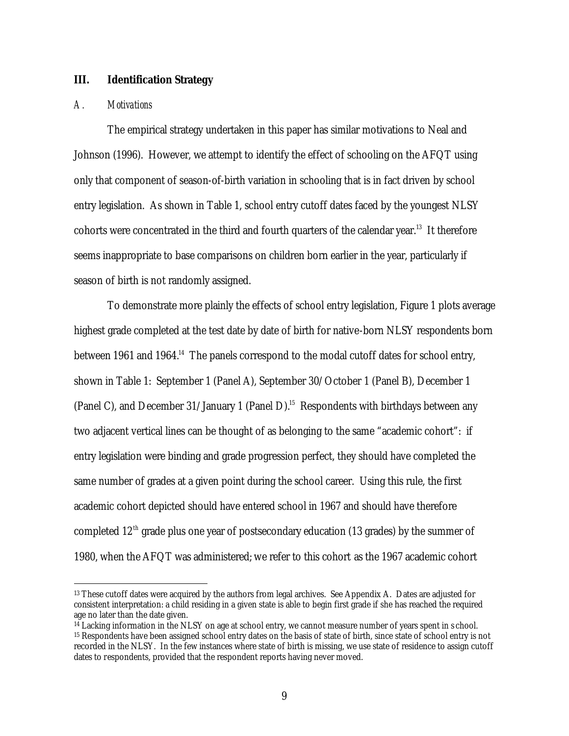## **III. Identification Strategy**

### *A. Motivations*

 $\overline{a}$ 

The empirical strategy undertaken in this paper has similar motivations to Neal and Johnson (1996). However, we attempt to identify the effect of schooling on the AFQT using only that component of season-of-birth variation in schooling that is in fact driven by school entry legislation. As shown in Table 1, school entry cutoff dates faced by the youngest NLSY cohorts were concentrated in the third and fourth quarters of the calendar year.<sup>13</sup> It therefore seems inappropriate to base comparisons on children born earlier in the year, particularly if season of birth is not randomly assigned.

To demonstrate more plainly the effects of school entry legislation, Figure 1 plots average highest grade completed at the test date by date of birth for native-born NLSY respondents born between 1961 and 1964.<sup>14</sup> The panels correspond to the modal cutoff dates for school entry, shown in Table 1: September 1 (Panel A), September 30/October 1 (Panel B), December 1 (Panel C), and December 31/January 1 (Panel D).<sup>15</sup> Respondents with birthdays between any two adjacent vertical lines can be thought of as belonging to the same "academic cohort": if entry legislation were binding and grade progression perfect, they should have completed the same number of grades at a given point during the school career. Using this rule, the first academic cohort depicted should have entered school in 1967 and should have therefore completed  $12<sup>th</sup>$  grade plus one year of postsecondary education (13 grades) by the summer of 1980, when the AFQT was administered; we refer to this cohort as the 1967 academic cohort

<sup>13</sup> These cutoff dates were acquired by the authors from legal archives. See Appendix A. Dates are adjusted for consistent interpretation: a child residing in a given state is able to begin first grade if she has reached the required age no later than the date given.

<sup>&</sup>lt;sup>14</sup> Lacking information in the NLSY on age at school entry, we cannot measure number of years spent in s chool. <sup>15</sup> Respondents have been assigned school entry dates on the basis of state of birth, since state of school entry is not recorded in the NLSY. In the few instances where state of birth is missing, we use state of residence to assign cutoff dates to respondents, provided that the respondent reports having never moved.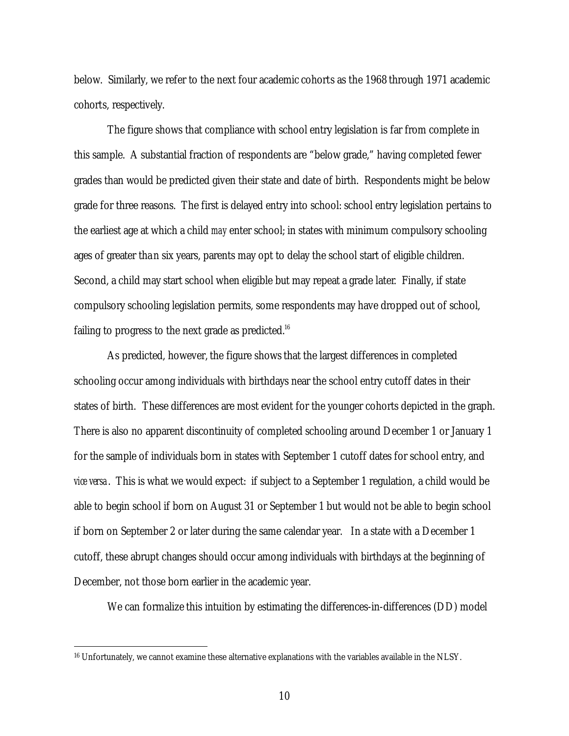below. Similarly, we refer to the next four academic cohorts as the 1968 through 1971 academic cohorts, respectively.

The figure shows that compliance with school entry legislation is far from complete in this sample. A substantial fraction of respondents are "below grade," having completed fewer grades than would be predicted given their state and date of birth. Respondents might be below grade for three reasons. The first is delayed entry into school: school entry legislation pertains to the earliest age at which a child *may* enter school; in states with minimum compulsory schooling ages of greater than six years, parents may opt to delay the school start of eligible children. Second, a child may start school when eligible but may repeat a grade later. Finally, if state compulsory schooling legislation permits, some respondents may have dropped out of school, failing to progress to the next grade as predicted. $^{16}$ 

As predicted, however, the figure shows that the largest differences in completed schooling occur among individuals with birthdays near the school entry cutoff dates in their states of birth. These differences are most evident for the younger cohorts depicted in the graph. There is also no apparent discontinuity of completed schooling around December 1 or January 1 for the sample of individuals born in states with September 1 cutoff dates for school entry, and *vice versa*. This is what we would expect: if subject to a September 1 regulation, a child would be able to begin school if born on August 31 or September 1 but would not be able to begin school if born on September 2 or later during the same calendar year. In a state with a December 1 cutoff, these abrupt changes should occur among individuals with birthdays at the beginning of December, not those born earlier in the academic year.

We can formalize this intuition by estimating the differences-in-differences (DD) model

<sup>16</sup> Unfortunately, we cannot examine these alternative explanations with the variables available in the NLSY.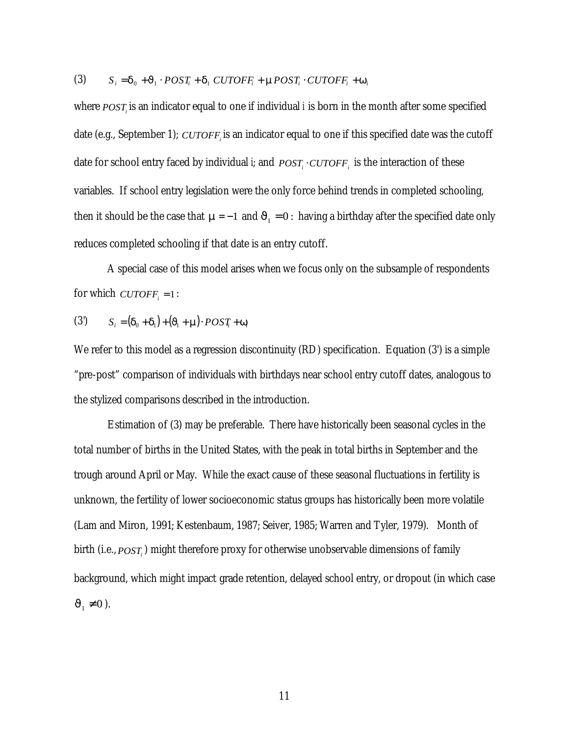(3) 
$$
S_i = \mathbf{d}_0 + \mathbf{J}_1 \cdot POST_i + \mathbf{d}_1 \cdot CUTOFF_i + mPOST_i \cdot CUTOFF_i + \mathbf{w}_i
$$

where *POST<sup>i</sup>* is an indicator equal to one if individual *i* is born in the month after some specified date (e.g., September 1); *CUTOFF<sup>i</sup>* is an indicator equal to one if this specified date was the cutoff date for school entry faced by individual *i*; and  $\textit{POST}_i \cdot \textit{CUTOFF}_i$  is the interaction of these variables. If school entry legislation were the only force behind trends in completed schooling, then it should be the case that  $m = -1$  and  $J_1 = 0$ : having a birthday after the specified date only reduces completed schooling if that date is an entry cutoff.

A special case of this model arises when we focus only on the subsample of respondents for which  $\textit{CUTOFF}_i = 1$ :

$$
(3) \qquad S_i = (\boldsymbol{d}_0 + \boldsymbol{d}_1) + (\boldsymbol{J}_1 + \boldsymbol{m}) \cdot POST_i + \boldsymbol{w}_i
$$

We refer to this model as a regression discontinuity (RD) specification. Equation (3') is a simple "pre-post" comparison of individuals with birthdays near school entry cutoff dates, analogous to the stylized comparisons described in the introduction.

Estimation of (3) may be preferable. There have historically been seasonal cycles in the total number of births in the United States, with the peak in total births in September and the trough around April or May. While the exact cause of these seasonal fluctuations in fertility is unknown, the fertility of lower socioeconomic status groups has historically been more volatile (Lam and Miron, 1991; Kestenbaum, 1987; Seiver, 1985; Warren and Tyler, 1979). Month of birth (i.e., *POST<sup>i</sup>* ) might therefore proxy for otherwise unobservable dimensions of family background, which might impact grade retention, delayed school entry, or dropout (in which case  $J_1 \neq 0$ ).

11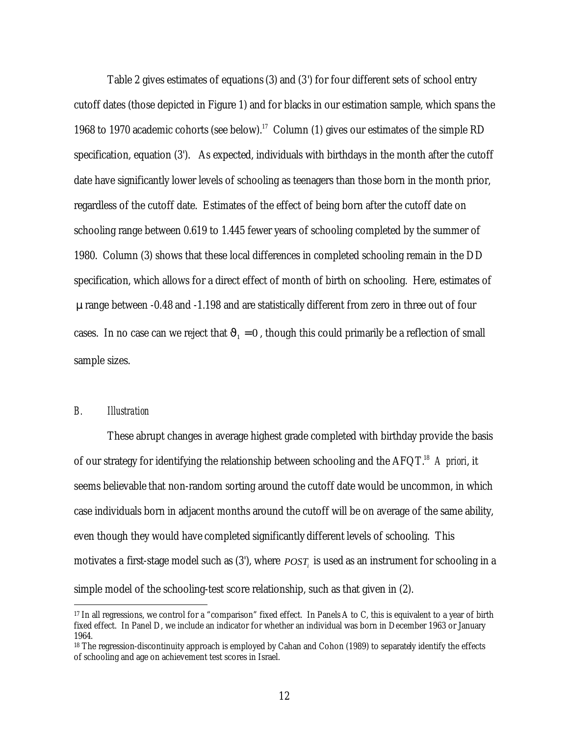Table 2 gives estimates of equations (3) and (3') for four different sets of school entry cutoff dates (those depicted in Figure 1) and for blacks in our estimation sample, which spans the 1968 to 1970 academic cohorts (see below).<sup>17</sup> Column (1) gives our estimates of the simple RD specification, equation (3'). As expected, individuals with birthdays in the month after the cutoff date have significantly lower levels of schooling as teenagers than those born in the month prior, regardless of the cutoff date. Estimates of the effect of being born after the cutoff date on schooling range between 0.619 to 1.445 fewer years of schooling completed by the summer of 1980. Column (3) shows that these local differences in completed schooling remain in the DD specification, which allows for a direct effect of month of birth on schooling. Here, estimates of *m* range between -0.48 and -1.198 and are statistically different from zero in three out of four cases. In no case can we reject that  $J_1 = 0$ , though this could primarily be a reflection of small sample sizes.

#### *B. Illustration*

 $\overline{a}$ 

These abrupt changes in average highest grade completed with birthday provide the basis of our strategy for identifying the relationship between schooling and the AFQT.<sup>18</sup> *A priori*, it seems believable that non-random sorting around the cutoff date would be uncommon, in which case individuals born in adjacent months around the cutoff will be on average of the same ability, even though they would have completed significantly different levels of schooling. This motivates a first-stage model such as (3'), where *POST<sup>i</sup>* is used as an instrument for schooling in a simple model of the schooling-test score relationship, such as that given in (2).

<sup>17</sup> In all regressions, we control for a "comparison" fixed effect. In Panels A to C, this is equivalent to a year of birth fixed effect. In Panel D, we include an indicator for whether an individual was born in December 1963 or January 1964.

<sup>&</sup>lt;sup>18</sup> The regression-discontinuity approach is employed by Cahan and Cohon (1989) to separately identify the effects of schooling and age on achievement test scores in Israel.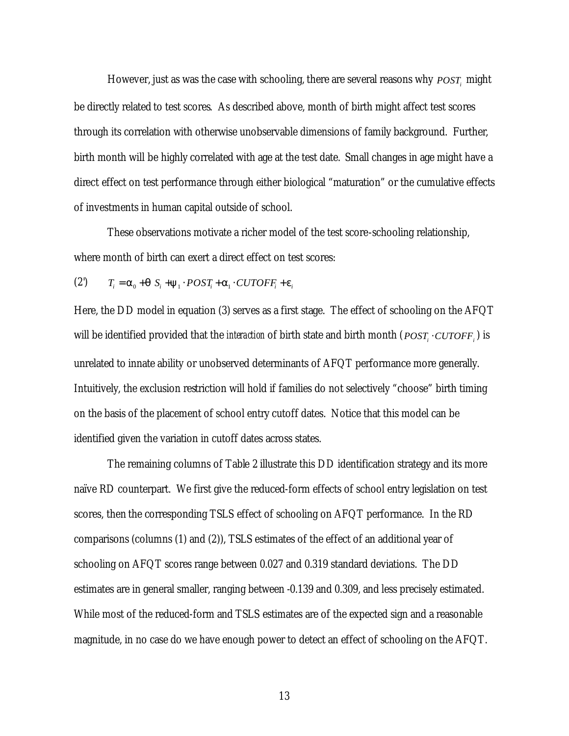However, just as was the case with schooling, there are several reasons why *POST<sup>i</sup>* might be directly related to test scores. As described above, month of birth might affect test scores through its correlation with otherwise unobservable dimensions of family background. Further, birth month will be highly correlated with age at the test date. Small changes in age might have a direct effect on test performance through either biological "maturation" or the cumulative effects of investments in human capital outside of school.

These observations motivate a richer model of the test score-schooling relationship, where month of birth can exert a direct effect on test scores:

(2) 
$$
T_i = \mathbf{a}_0 + \mathbf{q} \ S_i + \mathbf{y}_1 \cdot POST_i + \mathbf{a}_1 \cdot CUTOFF_i + \mathbf{e}_i
$$

Here, the DD model in equation (3) serves as a first stage. The effect of schooling on the AFQT will be identified provided that the *interaction* of birth state and birth month ( $\textit{POST}_i \cdot \textit{CUTOFF}_i$ ) is unrelated to innate ability or unobserved determinants of AFQT performance more generally. Intuitively, the exclusion restriction will hold if families do not selectively "choose" birth timing on the basis of the placement of school entry cutoff dates. Notice that this model can be identified given the variation in cutoff dates across states.

The remaining columns of Table 2 illustrate this DD identification strategy and its more naïve RD counterpart. We first give the reduced-form effects of school entry legislation on test scores, then the corresponding TSLS effect of schooling on AFQT performance. In the RD comparisons (columns (1) and (2)), TSLS estimates of the effect of an additional year of schooling on AFQT scores range between 0.027 and 0.319 standard deviations. The DD estimates are in general smaller, ranging between -0.139 and 0.309, and less precisely estimated. While most of the reduced-form and TSLS estimates are of the expected sign and a reasonable magnitude, in no case do we have enough power to detect an effect of schooling on the AFQT.

13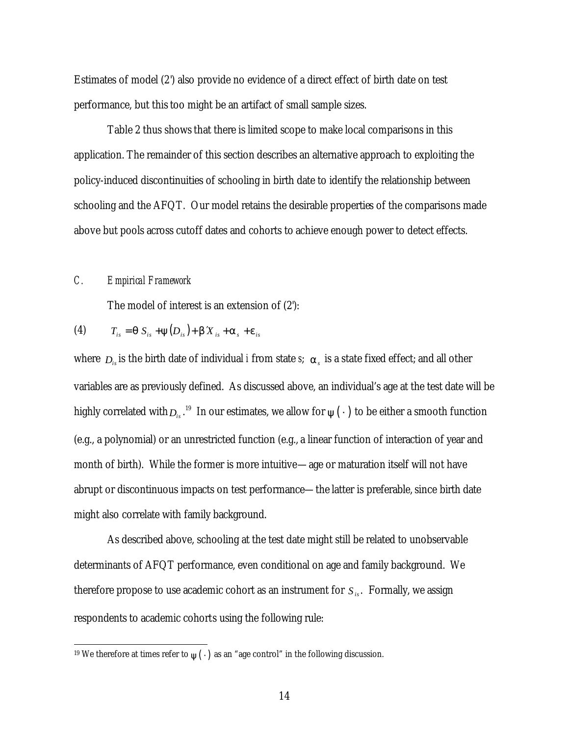Estimates of model (2') also provide no evidence of a direct effect of birth date on test performance, but this too might be an artifact of small sample sizes.

Table 2 thus shows that there is limited scope to make local comparisons in this application. The remainder of this section describes an alternative approach to exploiting the policy-induced discontinuities of schooling in birth date to identify the relationship between schooling and the AFQT. Our model retains the desirable properties of the comparisons made above but pools across cutoff dates and cohorts to achieve enough power to detect effects.

## *C. Empirical Framework*

 $\overline{a}$ 

The model of interest is an extension of (2'):

$$
(4) \tT_{is} = \boldsymbol{q} S_{is} + \boldsymbol{y} (D_{is}) + \boldsymbol{b} X_{is} + \boldsymbol{a}_s + \boldsymbol{e}_{is}
$$

where *Dis* is the birth date of individual *i* from state *s*; *a<sup>s</sup>* is a state fixed effect; and all other variables are as previously defined. As discussed above, an individual's age at the test date will be highly correlated with  $_{D_{is}}$  .<sup>19</sup> In our estimates, we allow for  $\mathbf{y}(\,\cdot\,)$  to be either a smooth function (e.g., a polynomial) or an unrestricted function (e.g., a linear function of interaction of year and month of birth). While the former is more intuitive—age or maturation itself will not have abrupt or discontinuous impacts on test performance—the latter is preferable, since birth date might also correlate with family background.

As described above, schooling at the test date might still be related to unobservable determinants of AFQT performance, even conditional on age and family background. We therefore propose to use academic cohort as an instrument for *Sis*. Formally, we assign respondents to academic cohorts using the following rule:

 $^{19}$  We therefore at times refer to  $_{\mathbf{y}}(\, \cdot \,)$  as an "age control" in the following discussion.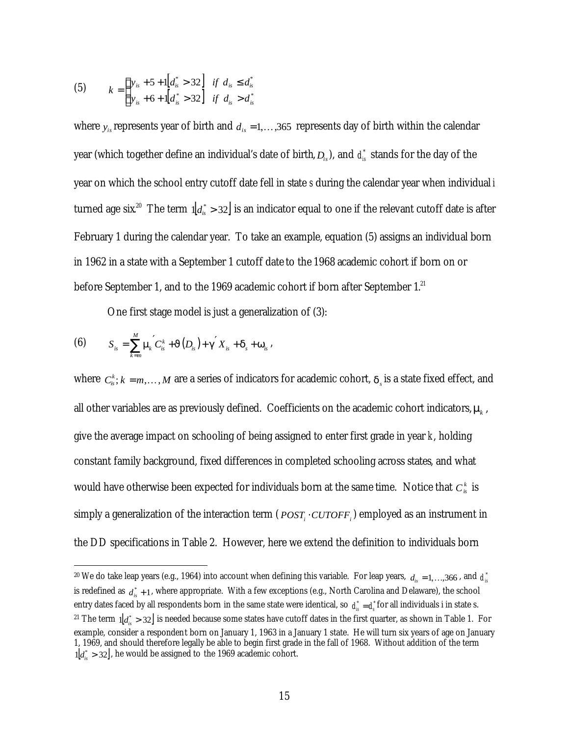(5) 
$$
k = \begin{cases} y_{is} + 5 + 1 \left[ d_{is}^{*} > 32 \right] & \text{if } d_{is} \leq d_{is}^{*} \\ y_{is} + 6 + 1 \left[ d_{is}^{*} > 32 \right] & \text{if } d_{is} > d_{is}^{*} \end{cases}
$$

where  $y_i$  represents year of birth and  $d_i = 1, \ldots, 365$  represents day of birth within the calendar year (which together define an individual's date of birth,  $D_{is}$ ), and  $\,d_{is}^*$  stands for the day of the year on which the school entry cutoff date fell in state *s* during the calendar year when individual *i* turned age six<sup>20</sup> The term  $d_a^* > 32$  is an indicator equal to one if the relevant cutoff date is after February 1 during the calendar year. To take an example, equation (5) assigns an individual born in 1962 in a state with a September 1 cutoff date to the 1968 academic cohort if born on or before September 1, and to the 1969 academic cohort if born after September 1.<sup>21</sup>

One first stage model is just a generalization of (3):

(6) 
$$
S_{is} = \sum_{k=m}^{M} m_k' C_{is}^k + J(D_{is}) + g' X_{is} + d_s + w_{is},
$$

 $\overline{a}$ 

where  $C_{is}^k$ ;  $k = m, ..., M$  are a series of indicators for academic cohort,  $d_s$  is a state fixed effect, and all other variables are as previously defined. Coefficients on the academic cohort indicators,*m<sup>k</sup>* , give the average impact on schooling of being assigned to enter first grade in year *k*, holding constant family background, fixed differences in completed schooling across states, and what would have otherwise been expected for individuals born at the same time. Notice that  $C^k_{is}$  is simply a generalization of the interaction term (  $\mathit{POST_i \cdot CUTOFF_i}$  ) employed as an instrument in the DD specifications in Table 2. However, here we extend the definition to individuals born

 $^{20}$  We do take leap years (e.g., 1964) into account when defining this variable. For leap years,  $~d_{_{is}}=$  1, …,366 , and  $~d_{_{is}}^\ast$ is redefined as  $d_{is}^*$  + 1, where appropriate. With a few exceptions (e.g., North Carolina and Delaware), the school entry dates faced by all respondents born in the same state were identical, so  $d_{is}^* = d_s^*$  for all individuals i in state s.  $^{21}$  The term  $\,1_{d_{is}^*}>$  32] is needed because some states have cutoff dates in the first quarter, as shown in Table 1. For example, consider a respondent born on January 1, 1963 in a January 1 state. He will turn six years of age on January 1, 1969, and should therefore legally be able to begin first grade in the fall of 1968. Without addition of the term  $1\left\vert d_{is}^{*}\geq 32\right\vert$ , he would be assigned to the 1969 academic cohort.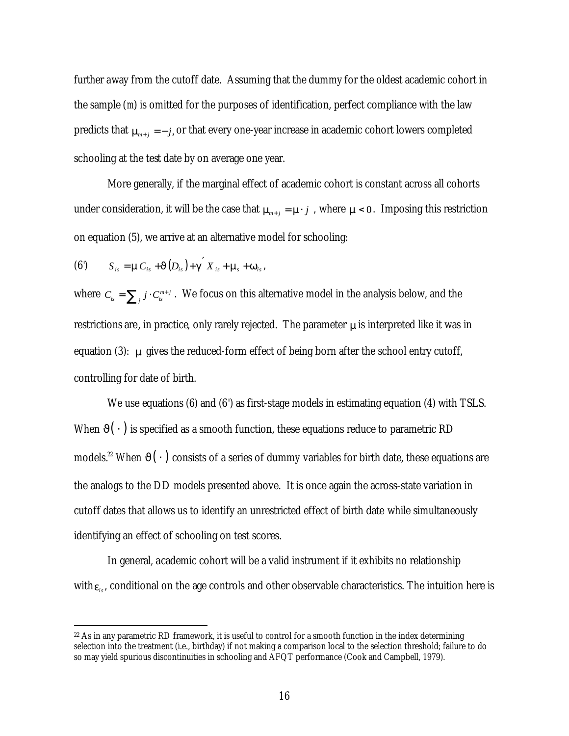further away from the cutoff date. Assuming that the dummy for the oldest academic cohort in the sample (*m*) is omitted for the purposes of identification, perfect compliance with the law predicts that  $\mathbf{m}_{m+j} = -j$ , or that every one-year increase in academic cohort lowers completed schooling at the test date by on average one year.

More generally, if the marginal effect of academic cohort is constant across all cohorts under consideration, it will be the case that  $\mathbf{m}_{n+i} = \mathbf{m} \cdot j$ , where  $\mathbf{m} < 0$ . Imposing this restriction on equation (5), we arrive at an alternative model for schooling:

(6') 
$$
S_{is} = \boldsymbol{m} C_{is} + \boldsymbol{J}(D_{is}) + \boldsymbol{g}' X_{is} + \boldsymbol{m}_s + \boldsymbol{w}_{is},
$$

 $\overline{a}$ 

where  $C_{is} = \sum_j j \cdot C_{is}^{m+1}$  $C_{i} = \sum_{i} j \cdot C_{i}^{m+j}$ . We focus on this alternative model in the analysis below, and the restrictions are, in practice, only rarely rejected. The parameter *m* is interpreted like it was in equation (3): *m* gives the reduced-form effect of being born after the school entry cutoff, controlling for date of birth.

We use equations (6) and (6') as first-stage models in estimating equation (4) with TSLS. When  $J(\cdot)$  is specified as a smooth function, these equations reduce to parametric RD models.<sup>22</sup> When *J*( ⋅ ) consists of a series of dummy variables for birth date, these equations are the analogs to the DD models presented above. It is once again the across-state variation in cutoff dates that allows us to identify an unrestricted effect of birth date while simultaneously identifying an effect of schooling on test scores.

In general, academic cohort will be a valid instrument if it exhibits no relationship with  $e_i$ , conditional on the age controls and other observable characteristics. The intuition here is

 $22$  As in any parametric RD framework, it is useful to control for a smooth function in the index determining selection into the treatment (i.e., birthday) if not making a comparison local to the selection threshold; failure to do so may yield spurious discontinuities in schooling and AFQT performance (Cook and Campbell, 1979).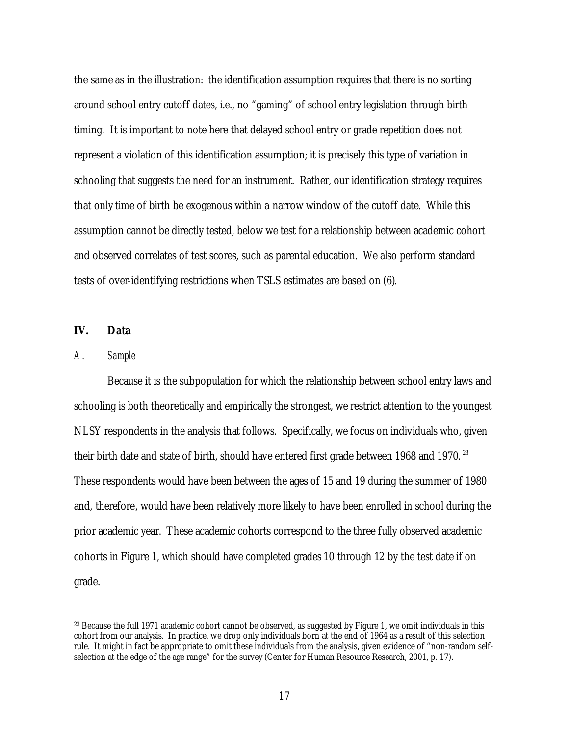the same as in the illustration: the identification assumption requires that there is no sorting around school entry cutoff dates, i.e., no "gaming" of school entry legislation through birth timing. It is important to note here that delayed school entry or grade repetition does not represent a violation of this identification assumption; it is precisely this type of variation in schooling that suggests the need for an instrument. Rather, our identification strategy requires that only time of birth be exogenous within a narrow window of the cutoff date. While this assumption cannot be directly tested, below we test for a relationship between academic cohort and observed correlates of test scores, such as parental education. We also perform standard tests of over-identifying restrictions when TSLS estimates are based on (6).

#### **IV. Data**

#### *A. Sample*

 $\overline{a}$ 

Because it is the subpopulation for which the relationship between school entry laws and schooling is both theoretically and empirically the strongest, we restrict attention to the youngest NLSY respondents in the analysis that follows. Specifically, we focus on individuals who, given their birth date and state of birth, should have entered first grade between 1968 and 1970.  $^{23}$ These respondents would have been between the ages of 15 and 19 during the summer of 1980 and, therefore, would have been relatively more likely to have been enrolled in school during the prior academic year. These academic cohorts correspond to the three fully observed academic cohorts in Figure 1, which should have completed grades 10 through 12 by the test date if on grade.

<sup>&</sup>lt;sup>23</sup> Because the full 1971 academic cohort cannot be observed, as suggested by Figure 1, we omit individuals in this cohort from our analysis. In practice, we drop only individuals born at the end of 1964 as a result of this selection rule. It might in fact be appropriate to omit these individuals from the analysis, given evidence of "non-random selfselection at the edge of the age range" for the survey (Center for Human Resource Research, 2001, p. 17).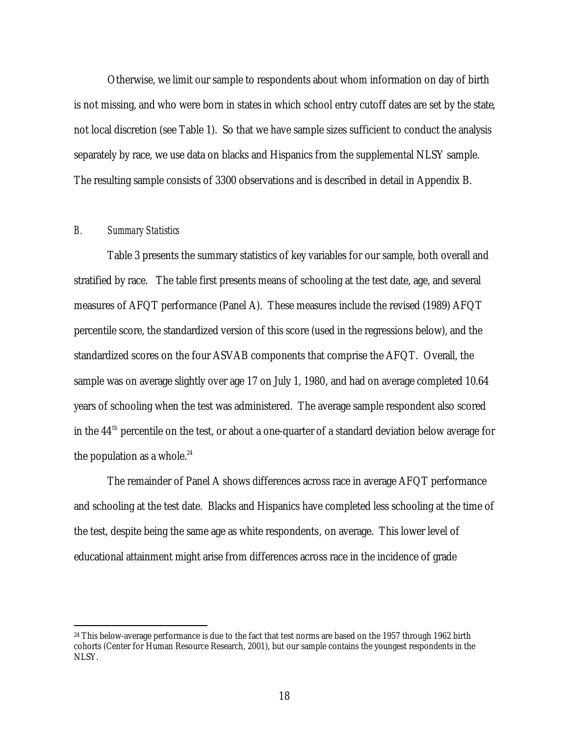Otherwise, we limit our sample to respondents about whom information on day of birth is not missing, and who were born in states in which school entry cutoff dates are set by the state, not local discretion (see Table 1). So that we have sample sizes sufficient to conduct the analysis separately by race, we use data on blacks and Hispanics from the supplemental NLSY sample. The resulting sample consists of 3300 observations and is described in detail in Appendix B.

## *B. Summary Statistics*

 $\overline{a}$ 

Table 3 presents the summary statistics of key variables for our sample, both overall and stratified by race. The table first presents means of schooling at the test date, age, and several measures of AFQT performance (Panel A). These measures include the revised (1989) AFQT percentile score, the standardized version of this score (used in the regressions below), and the standardized scores on the four ASVAB components that comprise the AFQT. Overall, the sample was on average slightly over age 17 on July 1, 1980, and had on average completed 10.64 years of schooling when the test was administered. The average sample respondent also scored in the 44<sup>th</sup> percentile on the test, or about a one-quarter of a standard deviation below average for the population as a whole. $24$ 

The remainder of Panel A shows differences across race in average AFQT performance and schooling at the test date. Blacks and Hispanics have completed less schooling at the time of the test, despite being the same age as white respondents, on average. This lower level of educational attainment might arise from differences across race in the incidence of grade

<sup>&</sup>lt;sup>24</sup> This below-average performance is due to the fact that test norms are based on the 1957 through 1962 birth cohorts (Center for Human Resource Research, 2001), but our sample contains the youngest respondents in the NLSY.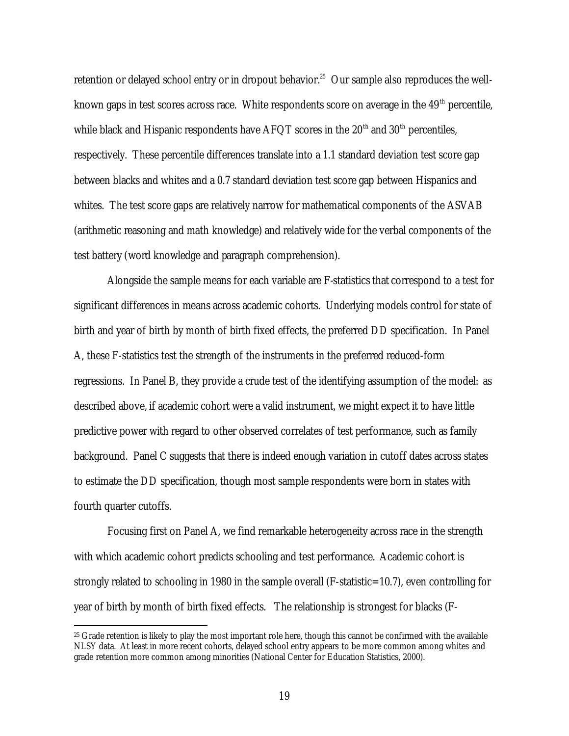retention or delayed school entry or in dropout behavior.<sup>25</sup> Our sample also reproduces the wellknown gaps in test scores across race. White respondents score on average in the  $49<sup>th</sup>$  percentile, while black and Hispanic respondents have AFQT scores in the  $20<sup>th</sup>$  and  $30<sup>th</sup>$  percentiles, respectively. These percentile differences translate into a 1.1 standard deviation test score gap between blacks and whites and a 0.7 standard deviation test score gap between Hispanics and whites. The test score gaps are relatively narrow for mathematical components of the ASVAB (arithmetic reasoning and math knowledge) and relatively wide for the verbal components of the test battery (word knowledge and paragraph comprehension).

Alongside the sample means for each variable are F-statistics that correspond to a test for significant differences in means across academic cohorts. Underlying models control for state of birth and year of birth by month of birth fixed effects, the preferred DD specification. In Panel A, these F-statistics test the strength of the instruments in the preferred reduced-form regressions. In Panel B, they provide a crude test of the identifying assumption of the model: as described above, if academic cohort were a valid instrument, we might expect it to have little predictive power with regard to other observed correlates of test performance, such as family background. Panel C suggests that there is indeed enough variation in cutoff dates across states to estimate the DD specification, though most sample respondents were born in states with fourth quarter cutoffs.

Focusing first on Panel A, we find remarkable heterogeneity across race in the strength with which academic cohort predicts schooling and test performance. Academic cohort is strongly related to schooling in 1980 in the sample overall (F-statistic=10.7), even controlling for year of birth by month of birth fixed effects. The relationship is strongest for blacks (F-

 $25$  Grade retention is likely to play the most important role here, though this cannot be confirmed with the available NLSY data. At least in more recent cohorts, delayed school entry appears to be more common among whites and grade retention more common among minorities (National Center for Education Statistics, 2000).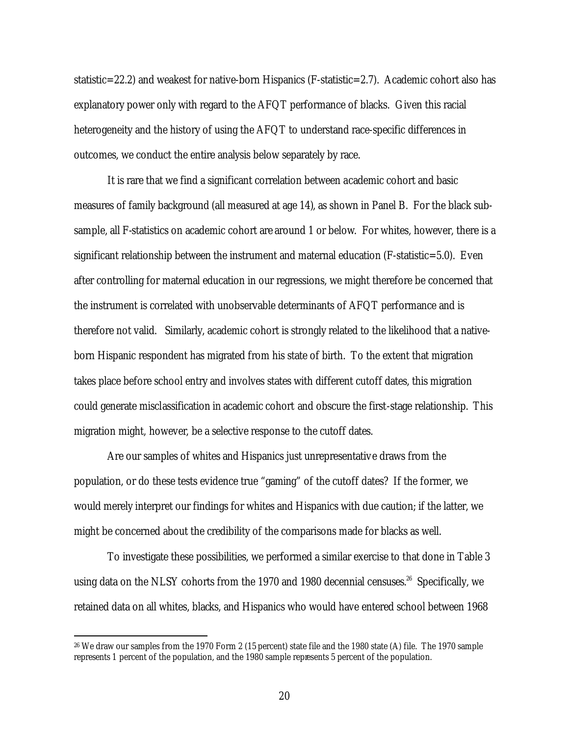statistic=22.2) and weakest for native-born Hispanics (F-statistic=2.7). Academic cohort also has explanatory power only with regard to the AFQT performance of blacks. Given this racial heterogeneity and the history of using the AFQT to understand race-specific differences in outcomes, we conduct the entire analysis below separately by race.

It is rare that we find a significant correlation between academic cohort and basic measures of family background (all measured at age 14), as shown in Panel B. For the black subsample, all F-statistics on academic cohort are around 1 or below. For whites, however, there is a significant relationship between the instrument and maternal education (F-statistic=5.0). Even after controlling for maternal education in our regressions, we might therefore be concerned that the instrument is correlated with unobservable determinants of AFQT performance and is therefore not valid. Similarly, academic cohort is strongly related to the likelihood that a nativeborn Hispanic respondent has migrated from his state of birth. To the extent that migration takes place before school entry and involves states with different cutoff dates, this migration could generate misclassification in academic cohort and obscure the first-stage relationship. This migration might, however, be a selective response to the cutoff dates.

Are our samples of whites and Hispanics just unrepresentative draws from the population, or do these tests evidence true "gaming" of the cutoff dates? If the former, we would merely interpret our findings for whites and Hispanics with due caution; if the latter, we might be concerned about the credibility of the comparisons made for blacks as well.

To investigate these possibilities, we performed a similar exercise to that done in Table 3 using data on the NLSY cohorts from the 1970 and 1980 decennial censuses.<sup>26</sup> Specifically, we retained data on all whites, blacks, and Hispanics who would have entered school between 1968

<sup>26</sup> We draw our samples from the 1970 Form 2 (15 percent) state file and the 1980 state (A) file. The 1970 sample represents 1 percent of the population, and the 1980 sample represents 5 percent of the population.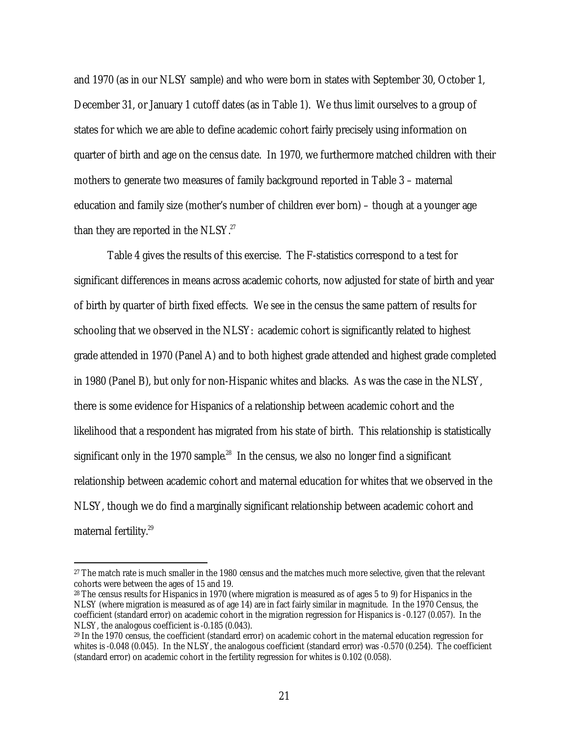and 1970 (as in our NLSY sample) and who were born in states with September 30, October 1, December 31, or January 1 cutoff dates (as in Table 1). We thus limit ourselves to a group of states for which we are able to define academic cohort fairly precisely using information on quarter of birth and age on the census date. In 1970, we furthermore matched children with their mothers to generate two measures of family background reported in Table 3 – maternal education and family size (mother's number of children ever born) – though at a younger age than they are reported in the NLSY. $27$ 

Table 4 gives the results of this exercise. The F-statistics correspond to a test for significant differences in means across academic cohorts, now adjusted for state of birth and year of birth by quarter of birth fixed effects. We see in the census the same pattern of results for schooling that we observed in the NLSY: academic cohort is significantly related to highest grade attended in 1970 (Panel A) and to both highest grade attended and highest grade completed in 1980 (Panel B), but only for non-Hispanic whites and blacks. As was the case in the NLSY, there is some evidence for Hispanics of a relationship between academic cohort and the likelihood that a respondent has migrated from his state of birth. This relationship is statistically significant only in the 1970 sample. $^{28}$  In the census, we also no longer find a significant relationship between academic cohort and maternal education for whites that we observed in the NLSY, though we do find a marginally significant relationship between academic cohort and maternal fertility. 29

<sup>&</sup>lt;sup>27</sup> The match rate is much smaller in the 1980 census and the matches much more selective, given that the relevant cohorts were between the ages of 15 and 19.

<sup>28</sup> The census results for Hispanics in 1970 (where migration is measured as of ages 5 to 9) for Hispanics in the NLSY (where migration is measured as of age 14) are in fact fairly similar in magnitude. In the 1970 Census, the coefficient (standard error) on academic cohort in the migration regression for Hispanics is -0.127 (0.057). In the NLSY, the analogous coefficient is -0.185 (0.043).

<sup>29</sup> In the 1970 census, the coefficient (standard error) on academic cohort in the maternal education regression for whites is -0.048 (0.045). In the NLSY, the analogous coefficient (standard error) was -0.570 (0.254). The coefficient (standard error) on academic cohort in the fertility regression for whites is 0.102 (0.058).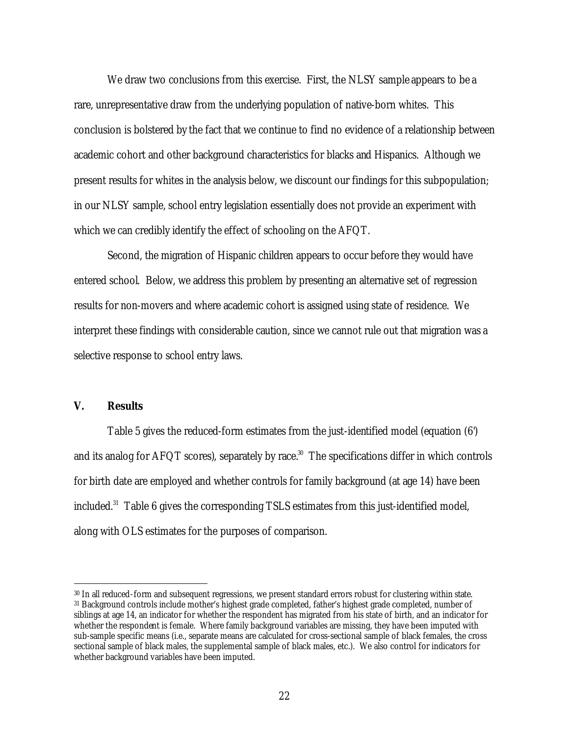We draw two conclusions from this exercise. First, the NLSY sample appears to be a rare, unrepresentative draw from the underlying population of native-born whites. This conclusion is bolstered by the fact that we continue to find no evidence of a relationship between academic cohort and other background characteristics for blacks and Hispanics. Although we present results for whites in the analysis below, we discount our findings for this subpopulation; in our NLSY sample, school entry legislation essentially does not provide an experiment with which we can credibly identify the effect of schooling on the AFQT.

Second, the migration of Hispanic children appears to occur before they would have entered school. Below, we address this problem by presenting an alternative set of regression results for non-movers and where academic cohort is assigned using state of residence. We interpret these findings with considerable caution, since we cannot rule out that migration was a selective response to school entry laws.

## **V. Results**

 $\overline{a}$ 

Table 5 gives the reduced-form estimates from the just-identified model (equation (6') and its analog for AFQT scores), separately by race. $^{\text{30}}$  The specifications differ in which controls for birth date are employed and whether controls for family background (at age 14) have been included. $31$  Table 6 gives the corresponding TSLS estimates from this just-identified model, along with OLS estimates for the purposes of comparison.

<sup>30</sup> In all reduced-form and subsequent regressions, we present standard errors robust for clustering within state. <sup>31</sup> Background controls include mother's highest grade completed, father's highest grade completed, number of siblings at age 14, an indicator for whether the respondent has migrated from his state of birth, and an indicator for whether the respondent is female. Where family background variables are missing, they have been imputed with sub-sample specific means (i.e., separate means are calculated for cross-sectional sample of black females, the cross sectional sample of black males, the supplemental sample of black males, etc.). We also control for indicators for whether background variables have been imputed.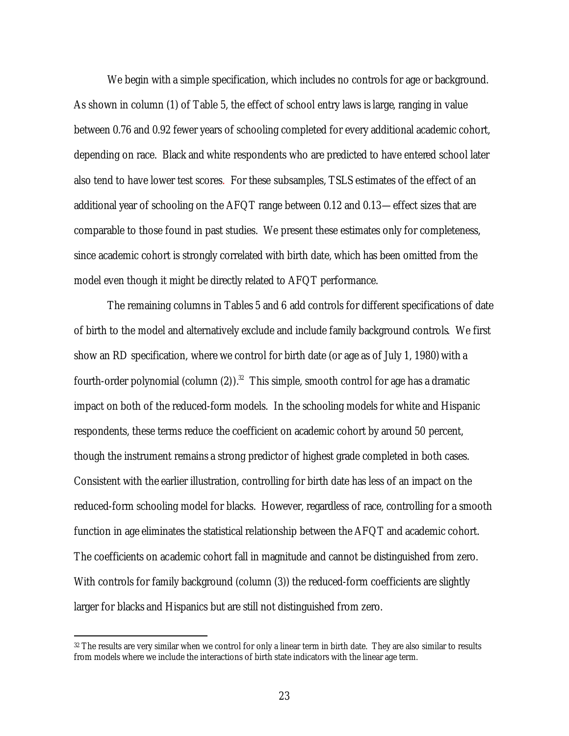We begin with a simple specification, which includes no controls for age or background. As shown in column (1) of Table 5, the effect of school entry laws is large, ranging in value between 0.76 and 0.92 fewer years of schooling completed for every additional academic cohort, depending on race. Black and white respondents who are predicted to have entered school later also tend to have lower test scores. For these subsamples, TSLS estimates of the effect of an additional year of schooling on the AFQT range between 0.12 and 0.13—effect sizes that are comparable to those found in past studies. We present these estimates only for completeness, since academic cohort is strongly correlated with birth date, which has been omitted from the model even though it might be directly related to AFQT performance.

The remaining columns in Tables 5 and 6 add controls for different specifications of date of birth to the model and alternatively exclude and include family background controls. We first show an RD specification, where we control for birth date (or age as of July 1, 1980) with a fourth-order polynomial (column (2)).<sup>32</sup> This simple, smooth control for age has a dramatic impact on both of the reduced-form models. In the schooling models for white and Hispanic respondents, these terms reduce the coefficient on academic cohort by around 50 percent, though the instrument remains a strong predictor of highest grade completed in both cases. Consistent with the earlier illustration, controlling for birth date has less of an impact on the reduced-form schooling model for blacks. However, regardless of race, controlling for a smooth function in age eliminates the statistical relationship between the AFQT and academic cohort. The coefficients on academic cohort fall in magnitude and cannot be distinguished from zero. With controls for family background (column (3)) the reduced-form coefficients are slightly larger for blacks and Hispanics but are still not distinguished from zero.

<sup>32</sup> The results are very similar when we control for only a linear term in birth date. They are also similar to results from models where we include the interactions of birth state indicators with the linear age term.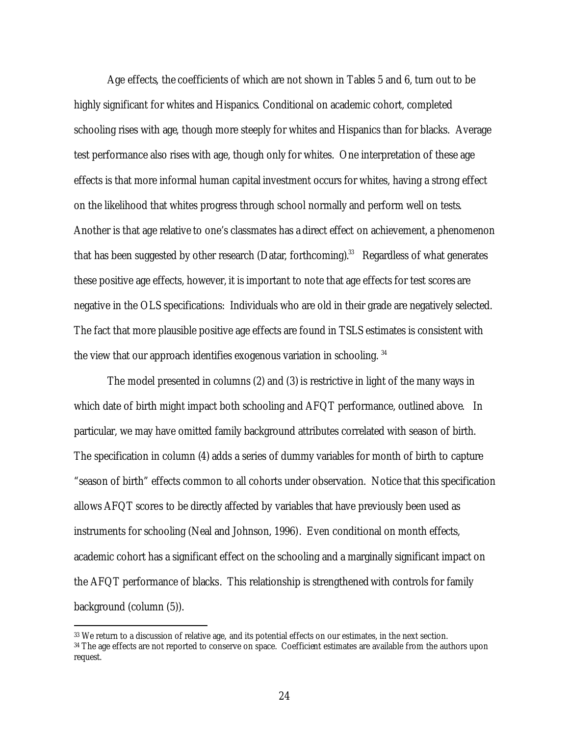Age effects, the coefficients of which are not shown in Tables 5 and 6, turn out to be highly significant for whites and Hispanics. Conditional on academic cohort, completed schooling rises with age, though more steeply for whites and Hispanics than for blacks. Average test performance also rises with age, though only for whites. One interpretation of these age effects is that more informal human capital investment occurs for whites, having a strong effect on the likelihood that whites progress through school normally and perform well on tests. Another is that age relative to one's classmates has a direct effect on achievement, a phenomenon that has been suggested by other research (Datar, forthcoming). $^{33}$  Regardless of what generates these positive age effects, however, it is important to note that age effects for test scores are negative in the OLS specifications: Individuals who are old in their grade are negatively selected. The fact that more plausible positive age effects are found in TSLS estimates is consistent with the view that our approach identifies exogenous variation in schooling. <sup>34</sup>

The model presented in columns (2) and (3) is restrictive in light of the many ways in which date of birth might impact both schooling and AFQT performance, outlined above. In particular, we may have omitted family background attributes correlated with season of birth. The specification in column (4) adds a series of dummy variables for month of birth to capture "season of birth" effects common to all cohorts under observation. Notice that this specification allows AFQT scores to be directly affected by variables that have previously been used as instruments for schooling (Neal and Johnson, 1996). Even conditional on month effects, academic cohort has a significant effect on the schooling and a marginally significant impact on the AFQT performance of blacks. This relationship is strengthened with controls for family background (column (5)).

<sup>33</sup> We return to a discussion of relative age, and its potential effects on our estimates, in the next section. <sup>34</sup> The age effects are not reported to conserve on space. Coefficient estimates are available from the authors upon request.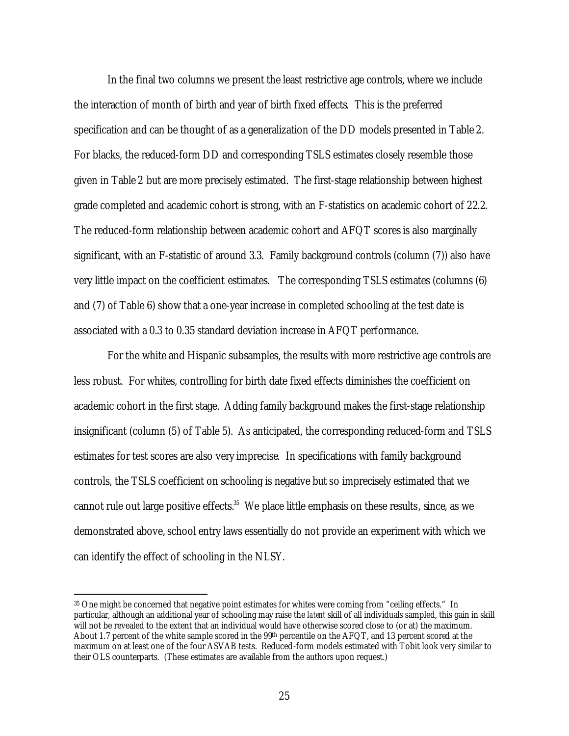In the final two columns we present the least restrictive age controls, where we include the interaction of month of birth and year of birth fixed effects. This is the preferred specification and can be thought of as a generalization of the DD models presented in Table 2. For blacks, the reduced-form DD and corresponding TSLS estimates closely resemble those given in Table 2 but are more precisely estimated. The first-stage relationship between highest grade completed and academic cohort is strong, with an F-statistics on academic cohort of 22.2. The reduced-form relationship between academic cohort and AFQT scores is also marginally significant, with an F-statistic of around 3.3. Family background controls (column (7)) also have very little impact on the coefficient estimates. The corresponding TSLS estimates (columns (6) and (7) of Table 6) show that a one-year increase in completed schooling at the test date is associated with a 0.3 to 0.35 standard deviation increase in AFQT performance.

For the white and Hispanic subsamples, the results with more restrictive age controls are less robust. For whites, controlling for birth date fixed effects diminishes the coefficient on academic cohort in the first stage. Adding family background makes the first-stage relationship insignificant (column (5) of Table 5). As anticipated, the corresponding reduced-form and TSLS estimates for test scores are also very imprecise. In specifications with family background controls, the TSLS coefficient on schooling is negative but so imprecisely estimated that we cannot rule out large positive effects. $35$  We place little emphasis on these results, since, as we demonstrated above, school entry laws essentially do not provide an experiment with which we can identify the effect of schooling in the NLSY.

<sup>35</sup> One might be concerned that negative point estimates for whites were coming from "ceiling effects." In particular, although an additional year of schooling may raise the *latent* skill of all individuals sampled, this gain in skill will not be revealed to the extent that an individual would have otherwise scored close to (or at) the maximum. About 1.7 percent of the white sample scored in the 99th percentile on the AFQT, and 13 percent scored at the maximum on at least one of the four ASVAB tests. Reduced-form models estimated with Tobit look very similar to their OLS counterparts. (These estimates are available from the authors upon request.)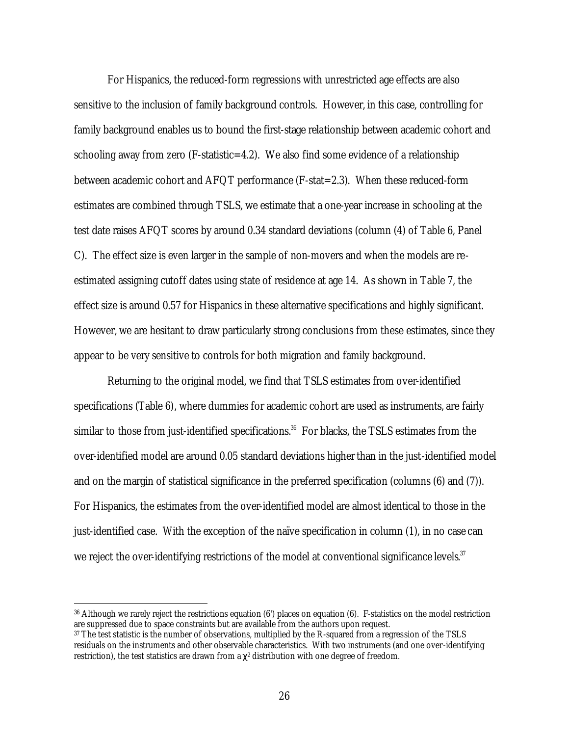For Hispanics, the reduced-form regressions with unrestricted age effects are also sensitive to the inclusion of family background controls. However, in this case, controlling for family background enables us to bound the first-stage relationship between academic cohort and schooling away from zero (F-statistic=4.2). We also find some evidence of a relationship between academic cohort and AFQT performance (F-stat=2.3). When these reduced-form estimates are combined through TSLS, we estimate that a one-year increase in schooling at the test date raises AFQT scores by around 0.34 standard deviations (column (4) of Table 6, Panel C). The effect size is even larger in the sample of non-movers and when the models are reestimated assigning cutoff dates using state of residence at age 14. As shown in Table 7, the effect size is around 0.57 for Hispanics in these alternative specifications and highly significant. However, we are hesitant to draw particularly strong conclusions from these estimates, since they appear to be very sensitive to controls for both migration and family background.

Returning to the original model, we find that TSLS estimates from over-identified specifications (Table 6), where dummies for academic cohort are used as instruments, are fairly similar to those from just-identified specifications. $^{36}$  For blacks, the TSLS estimates from the over-identified model are around 0.05 standard deviations higher than in the just-identified model and on the margin of statistical significance in the preferred specification (columns (6) and (7)). For Hispanics, the estimates from the over-identified model are almost identical to those in the just-identified case. With the exception of the naïve specification in column (1), in no case can we reject the over-identifying restrictions of the model at conventional significance levels. $37$ 

<sup>36</sup> Although we rarely reject the restrictions equation (6') places on equation (6). F-statistics on the model restriction are suppressed due to space constraints but are available from the authors upon request.

<sup>37</sup> The test statistic is the number of observations, multiplied by the R-squared from a regression of the TSLS residuals on the instruments and other observable characteristics. With two instruments (and one over-identifying restriction), the test statistics are drawn from a  $\chi^2$  distribution with one degree of freedom.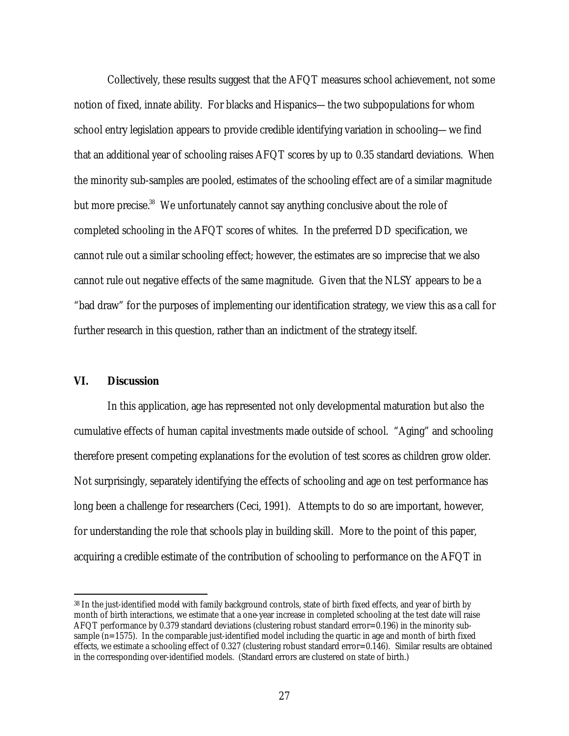Collectively, these results suggest that the AFQT measures school achievement, not some notion of fixed, innate ability. For blacks and Hispanics—the two subpopulations for whom school entry legislation appears to provide credible identifying variation in schooling—we find that an additional year of schooling raises AFQT scores by up to 0.35 standard deviations. When the minority sub-samples are pooled, estimates of the schooling effect are of a similar magnitude but more precise.<sup>38</sup> We unfortunately cannot say anything conclusive about the role of completed schooling in the AFQT scores of whites. In the preferred DD specification, we cannot rule out a similar schooling effect; however, the estimates are so imprecise that we also cannot rule out negative effects of the same magnitude. Given that the NLSY appears to be a "bad draw" for the purposes of implementing our identification strategy, we view this as a call for further research in this question, rather than an indictment of the strategy itself.

## **VI. Discussion**

 $\overline{a}$ 

In this application, age has represented not only developmental maturation but also the cumulative effects of human capital investments made outside of school. "Aging" and schooling therefore present competing explanations for the evolution of test scores as children grow older. Not surprisingly, separately identifying the effects of schooling and age on test performance has long been a challenge for researchers (Ceci, 1991). Attempts to do so are important, however, for understanding the role that schools play in building skill. More to the point of this paper, acquiring a credible estimate of the contribution of schooling to performance on the AFQT in

<sup>38</sup> In the just-identified model with family background controls, state of birth fixed effects, and year of birth by month of birth interactions, we estimate that a one-year increase in completed schooling at the test date will raise AFQT performance by 0.379 standard deviations (clustering robust standard error=0.196) in the minority subsample  $(n=1575)$ . In the comparable just-identified model including the quartic in age and month of birth fixed effects, we estimate a schooling effect of 0.327 (clustering robust standard error=0.146). Similar results are obtained in the corresponding over-identified models. (Standard errors are clustered on state of birth.)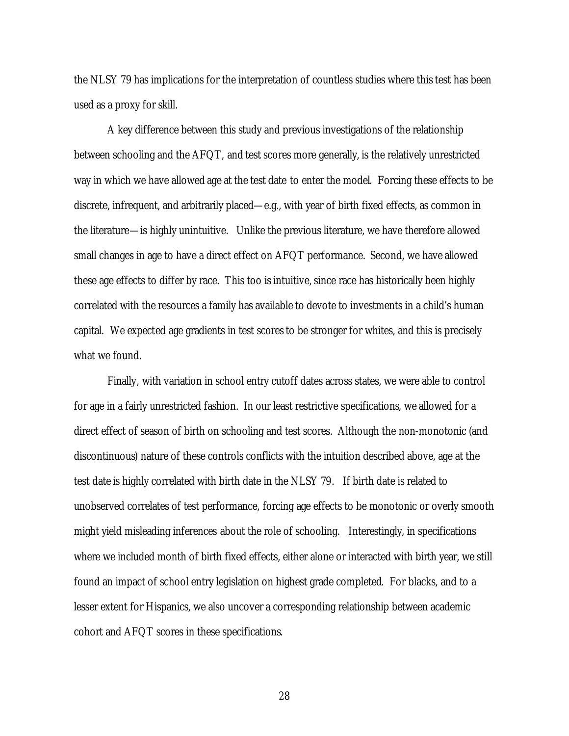the NLSY 79 has implications for the interpretation of countless studies where this test has been used as a proxy for skill.

A key difference between this study and previous investigations of the relationship between schooling and the AFQT, and test scores more generally, is the relatively unrestricted way in which we have allowed age at the test date to enter the model. Forcing these effects to be discrete, infrequent, and arbitrarily placed—e.g., with year of birth fixed effects, as common in the literature—is highly unintuitive. Unlike the previous literature, we have therefore allowed small changes in age to have a direct effect on AFQT performance. Second, we have allowed these age effects to differ by race. This too is intuitive, since race has historically been highly correlated with the resources a family has available to devote to investments in a child's human capital. We expected age gradients in test scores to be stronger for whites, and this is precisely what we found.

Finally, with variation in school entry cutoff dates across states, we were able to control for age in a fairly unrestricted fashion. In our least restrictive specifications, we allowed for a direct effect of season of birth on schooling and test scores. Although the non-monotonic (and discontinuous) nature of these controls conflicts with the intuition described above, age at the test date is highly correlated with birth date in the NLSY 79. If birth date is related to unobserved correlates of test performance, forcing age effects to be monotonic or overly smooth might yield misleading inferences about the role of schooling. Interestingly, in specifications where we included month of birth fixed effects, either alone or interacted with birth year, we still found an impact of school entry legislation on highest grade completed. For blacks, and to a lesser extent for Hispanics, we also uncover a corresponding relationship between academic cohort and AFQT scores in these specifications.

28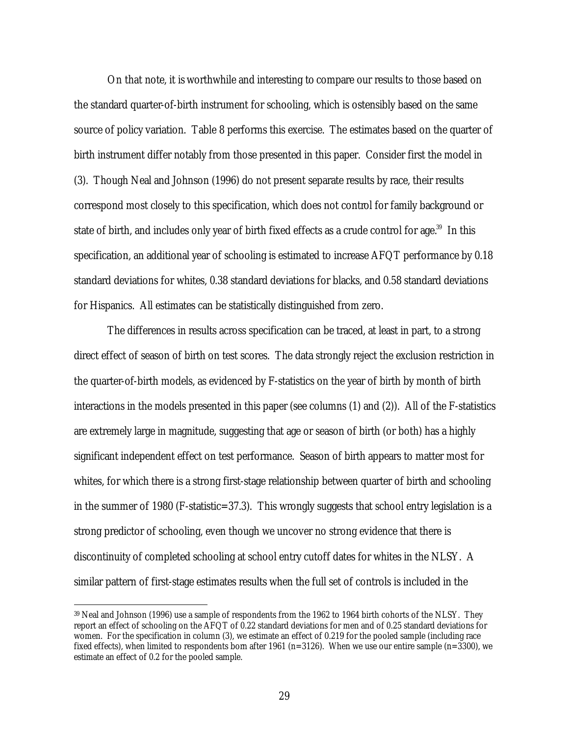On that note, it is worthwhile and interesting to compare our results to those based on the standard quarter-of-birth instrument for schooling, which is ostensibly based on the same source of policy variation. Table 8 performs this exercise. The estimates based on the quarter of birth instrument differ notably from those presented in this paper. Consider first the model in (3). Though Neal and Johnson (1996) do not present separate results by race, their results correspond most closely to this specification, which does not control for family background or state of birth, and includes only year of birth fixed effects as a crude control for age.<sup>39</sup> In this specification, an additional year of schooling is estimated to increase AFQT performance by 0.18 standard deviations for whites, 0.38 standard deviations for blacks, and 0.58 standard deviations for Hispanics. All estimates can be statistically distinguished from zero.

The differences in results across specification can be traced, at least in part, to a strong direct effect of season of birth on test scores. The data strongly reject the exclusion restriction in the quarter-of-birth models, as evidenced by F-statistics on the year of birth by month of birth interactions in the models presented in this paper (see columns (1) and (2)). All of the F-statistics are extremely large in magnitude, suggesting that age or season of birth (or both) has a highly significant independent effect on test performance. Season of birth appears to matter most for whites, for which there is a strong first-stage relationship between quarter of birth and schooling in the summer of 1980 (F-statistic=37.3). This wrongly suggests that school entry legislation is a strong predictor of schooling, even though we uncover no strong evidence that there is discontinuity of completed schooling at school entry cutoff dates for whites in the NLSY. A similar pattern of first-stage estimates results when the full set of controls is included in the

<sup>39</sup> Neal and Johnson (1996) use a sample of respondents from the 1962 to 1964 birth cohorts of the NLSY. They report an effect of schooling on the AFQT of 0.22 standard deviations for men and of 0.25 standard deviations for women. For the specification in column (3), we estimate an effect of 0.219 for the pooled sample (including race fixed effects), when limited to respondents born after 1961 ( $n=3126$ ). When we use our entire sample ( $n=3300$ ), we estimate an effect of 0.2 for the pooled sample.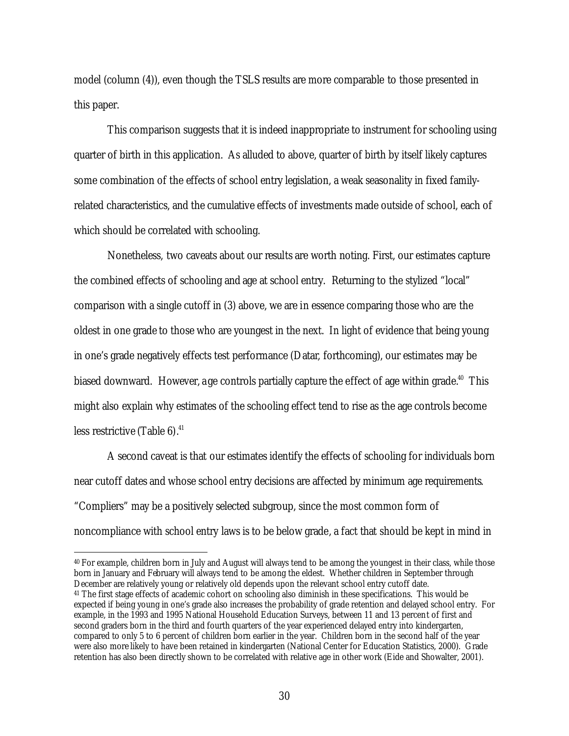model (column (4)), even though the TSLS results are more comparable to those presented in this paper.

This comparison suggests that it is indeed inappropriate to instrument for schooling using quarter of birth in this application. As alluded to above, quarter of birth by itself likely captures some combination of the effects of school entry legislation, a weak seasonality in fixed familyrelated characteristics, and the cumulative effects of investments made outside of school, each of which should be correlated with schooling.

Nonetheless, two caveats about our results are worth noting. First, our estimates capture the combined effects of schooling and age at school entry. Returning to the stylized "local" comparison with a single cutoff in (3) above, we are in essence comparing those who are the oldest in one grade to those who are youngest in the next. In light of evidence that being young in one's grade negatively effects test performance (Datar, forthcoming), our estimates may be biased downward. However, a ge controls partially capture the effect of age within grade.<sup>40</sup> This might also explain why estimates of the schooling effect tend to rise as the age controls become less restrictive (Table 6). 41

A second caveat is that our estimates identify the effects of schooling for individuals born near cutoff dates and whose school entry decisions are affected by minimum age requirements. "Compliers" may be a positively selected subgroup, since the most common form of noncompliance with school entry laws is to be below grade, a fact that should be kept in mind in

<sup>40</sup> For example, children born in July and August will always tend to be among the youngest in their class, while those born in January and February will always tend to be among the eldest. Whether children in September through December are relatively young or relatively old depends upon the relevant school entry cutoff date.

<sup>41</sup> The first stage effects of academic cohort on schooling also diminish in these specifications. This would be expected if being young in one's grade also increases the probability of grade retention and delayed school entry. For example, in the 1993 and 1995 National Household Education Surveys, between 11 and 13 percent of first and second graders born in the third and fourth quarters of the year experienced delayed entry into kindergarten, compared to only 5 to 6 percent of children born earlier in the year. Children born in the second half of the year were also more likely to have been retained in kindergarten (National Center for Education Statistics, 2000). Grade retention has also been directly shown to be correlated with relative age in other work (Eide and Showalter, 2001).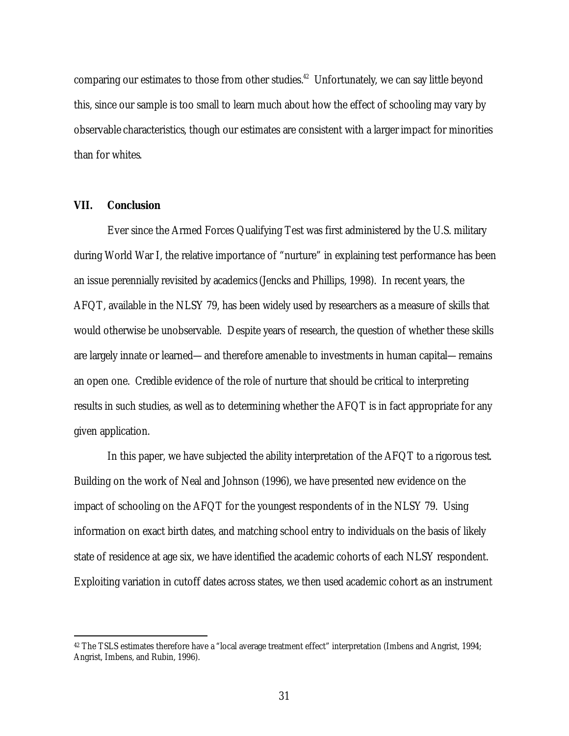comparing our estimates to those from other studies. 42 Unfortunately, we can say little beyond this, since our sample is too small to learn much about how the effect of schooling may vary by observable characteristics, though our estimates are consistent with a larger impact for minorities than for whites.

### **VII. Conclusion**

 $\overline{a}$ 

Ever since the Armed Forces Qualifying Test was first administered by the U.S. military during World War I, the relative importance of "nurture" in explaining test performance has been an issue perennially revisited by academics (Jencks and Phillips, 1998). In recent years, the AFQT, available in the NLSY 79, has been widely used by researchers as a measure of skills that would otherwise be unobservable. Despite years of research, the question of whether these skills are largely innate or learned—and therefore amenable to investments in human capital—remains an open one. Credible evidence of the role of nurture that should be critical to interpreting results in such studies, as well as to determining whether the AFQT is in fact appropriate for any given application.

In this paper, we have subjected the ability interpretation of the AFQT to a rigorous test. Building on the work of Neal and Johnson (1996), we have presented new evidence on the impact of schooling on the AFQT for the youngest respondents of in the NLSY 79. Using information on exact birth dates, and matching school entry to individuals on the basis of likely state of residence at age six, we have identified the academic cohorts of each NLSY respondent. Exploiting variation in cutoff dates across states, we then used academic cohort as an instrument

<sup>42</sup> The TSLS estimates therefore have a "local average treatment effect" interpretation (Imbens and Angrist, 1994; Angrist, Imbens, and Rubin, 1996).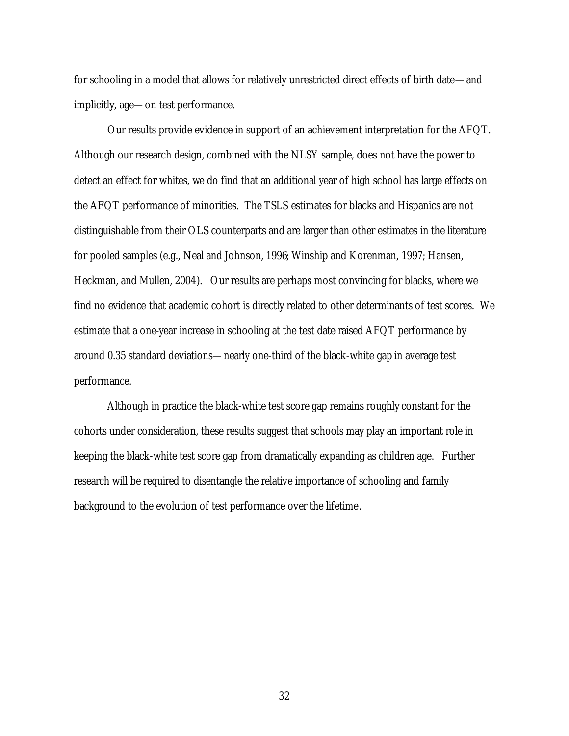for schooling in a model that allows for relatively unrestricted direct effects of birth date—and implicitly, age—on test performance.

Our results provide evidence in support of an achievement interpretation for the AFQT. Although our research design, combined with the NLSY sample, does not have the power to detect an effect for whites, we do find that an additional year of high school has large effects on the AFQT performance of minorities. The TSLS estimates for blacks and Hispanics are not distinguishable from their OLS counterparts and are larger than other estimates in the literature for pooled samples (e.g., Neal and Johnson, 1996; Winship and Korenman, 1997; Hansen, Heckman, and Mullen, 2004). Our results are perhaps most convincing for blacks, where we find no evidence that academic cohort is directly related to other determinants of test scores. We estimate that a one-year increase in schooling at the test date raised AFQT performance by around 0.35 standard deviations—nearly one-third of the black-white gap in average test performance.

Although in practice the black-white test score gap remains roughly constant for the cohorts under consideration, these results suggest that schools may play an important role in keeping the black-white test score gap from dramatically expanding as children age. Further research will be required to disentangle the relative importance of schooling and family background to the evolution of test performance over the lifetime.

32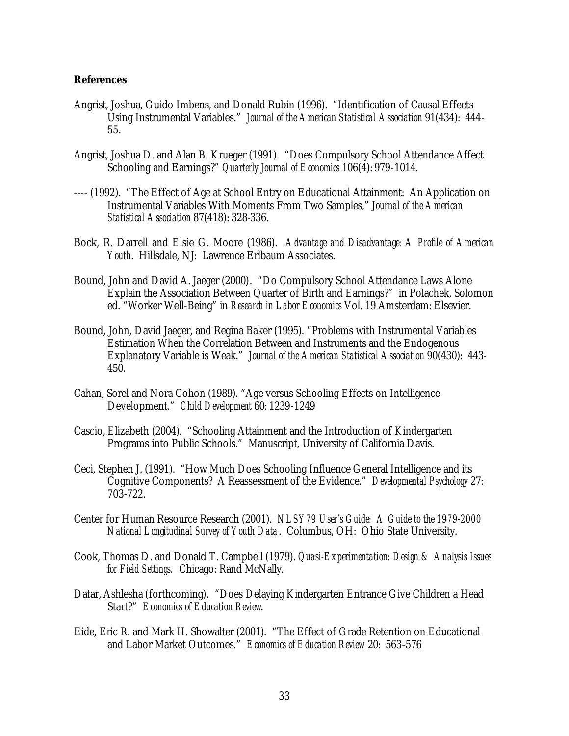#### **References**

- Angrist, Joshua, Guido Imbens, and Donald Rubin (1996). "Identification of Causal Effects Using Instrumental Variables." *Journal of the American Statistical Association* 91(434): 444- 55.
- Angrist, Joshua D. and Alan B. Krueger (1991). "Does Compulsory School Attendance Affect Schooling and Earnings?" *Quarterly Journal of Economics* 106(4): 979-1014.
- ---- (1992). "The Effect of Age at School Entry on Educational Attainment: An Application on Instrumental Variables With Moments From Two Samples," *Journal of the American Statistical Association* 87(418): 328-336.
- Bock, R. Darrell and Elsie G. Moore (1986). *Advantage and Disadvantage: A Profile of American Youth*. Hillsdale, NJ: Lawrence Erlbaum Associates.
- Bound, John and David A. Jaeger (2000). "Do Compulsory School Attendance Laws Alone Explain the Association Between Quarter of Birth and Earnings?" in Polachek, Solomon ed. "Worker Well-Being" in *Research in Labor Economics* Vol. 19 Amsterdam: Elsevier.
- Bound, John, David Jaeger, and Regina Baker (1995). "Problems with Instrumental Variables Estimation When the Correlation Between and Instruments and the Endogenous Explanatory Variable is Weak." *Journal of the American Statistical Association* 90(430): 443- 450.
- Cahan, Sorel and Nora Cohon (1989). "Age versus Schooling Effects on Intelligence Development." *Child Development* 60: 1239-1249
- Cascio, Elizabeth (2004). "Schooling Attainment and the Introduction of Kindergarten Programs into Public Schools." Manuscript, University of California Davis.
- Ceci, Stephen J. (1991). "How Much Does Schooling Influence General Intelligence and its Cognitive Components? A Reassessment of the Evidence." *Developmental Psychology* 27: 703-722.
- Center for Human Resource Research (2001). *NLSY79 User's Guide: A Guide to the 1979-2000 National Longitudinal Survey of Youth Data* . Columbus, OH: Ohio State University.
- Cook, Thomas D. and Donald T. Campbell (1979). *Quasi-Experimentation: Design & Analysis Issues for Field Settings.* Chicago: Rand McNally.
- Datar, Ashlesha (forthcoming). "Does Delaying Kindergarten Entrance Give Children a Head Start?" *Economics of Education Review*.
- Eide, Eric R. and Mark H. Showalter (2001). "The Effect of Grade Retention on Educational and Labor Market Outcomes." *Economics of Education Review* 20: 563-576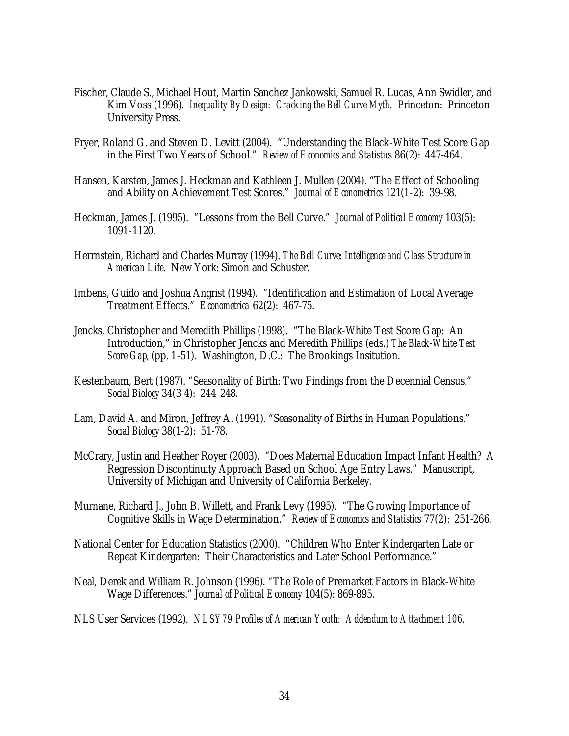- Fischer, Claude S., Michael Hout, Martin Sanchez Jankowski, Samuel R. Lucas, Ann Swidler, and Kim Voss (1996). *Inequality By Design: Cracking the Bell Curve Myth*. Princeton: Princeton University Press.
- Fryer, Roland G. and Steven D. Levitt (2004). "Understanding the Black-White Test Score Gap in the First Two Years of School." *Review of Economics and Statistics* 86(2): 447-464.
- Hansen, Karsten, James J. Heckman and Kathleen J. Mullen (2004). "The Effect of Schooling and Ability on Achievement Test Scores." *Journal of Econometrics* 121(1-2): 39-98.
- Heckman, James J. (1995). "Lessons from the Bell Curve." *Journal of Political Economy* 103(5): 1091-1120.
- Herrnstein, Richard and Charles Murray (1994). *The Bell Curve: Intelligence and Class Structure in American Life*. New York: Simon and Schuster.
- Imbens, Guido and Joshua Angrist (1994). "Identification and Estimation of Local Average Treatment Effects." *Econometrica* 62(2): 467-75.
- Jencks, Christopher and Meredith Phillips (1998). "The Black-White Test Score Gap: An Introduction," in Christopher Jencks and Meredith Phillips (eds.) *The Black-White Test Score Gap*, (pp. 1-51). Washington, D.C.: The Brookings Insitution.
- Kestenbaum, Bert (1987). "Seasonality of Birth: Two Findings from the Decennial Census." *Social Biology* 34(3-4): 244-248.
- Lam, David A. and Miron, Jeffrey A. (1991). "Seasonality of Births in Human Populations." *Social Biology* 38(1-2): 51-78.
- McCrary, Justin and Heather Royer (2003). "Does Maternal Education Impact Infant Health? A Regression Discontinuity Approach Based on School Age Entry Laws." Manuscript, University of Michigan and University of California Berkeley.
- Murnane, Richard J., John B. Willett, and Frank Levy (1995). "The Growing Importance of Cognitive Skills in Wage Determination." *Review of Economics and Statistics* 77(2): 251-266.
- National Center for Education Statistics (2000). "Children Who Enter Kindergarten Late or Repeat Kindergarten: Their Characteristics and Later School Performance."
- Neal, Derek and William R. Johnson (1996). "The Role of Premarket Factors in Black-White Wage Differences." *Journal of Political Economy* 104(5): 869-895.
- NLS User Services (1992). *NLSY79 Profiles of American Youth: Addendum to Attachment 106*.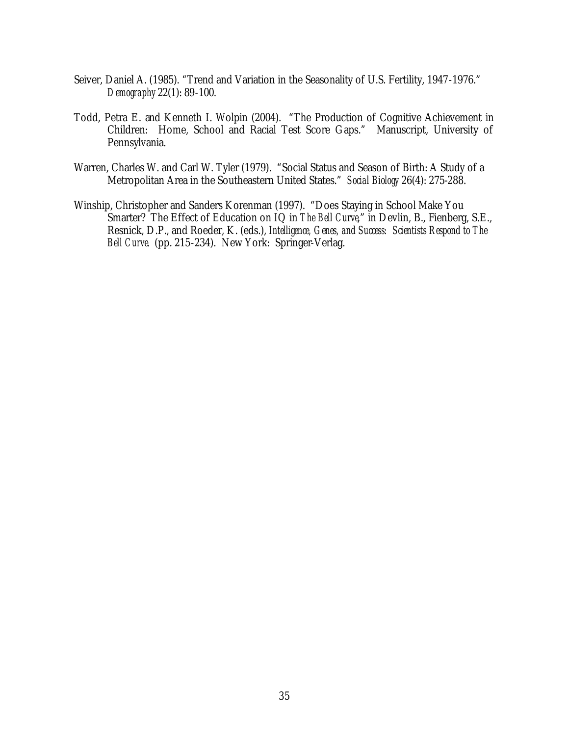- Seiver, Daniel A. (1985). "Trend and Variation in the Seasonality of U.S. Fertility, 1947-1976." *Demography* 22(1): 89-100.
- Todd, Petra E. and Kenneth I. Wolpin (2004). "The Production of Cognitive Achievement in Children: Home, School and Racial Test Score Gaps." Manuscript, University of Pennsylvania.
- Warren, Charles W. and Carl W. Tyler (1979). "Social Status and Season of Birth: A Study of a Metropolitan Area in the Southeastern United States." *Social Biology* 26(4): 275-288.
- Winship, Christopher and Sanders Korenman (1997). "Does Staying in School Make You Smarter? The Effect of Education on IQ in *The Bell Curve*," in Devlin, B., Fienberg, S.E., Resnick, D.P., and Roeder, K. (eds.), *Intelligence, Genes, and Success: Scientists Respond to The Bell Curve*. (pp. 215-234). New York: Springer-Verlag.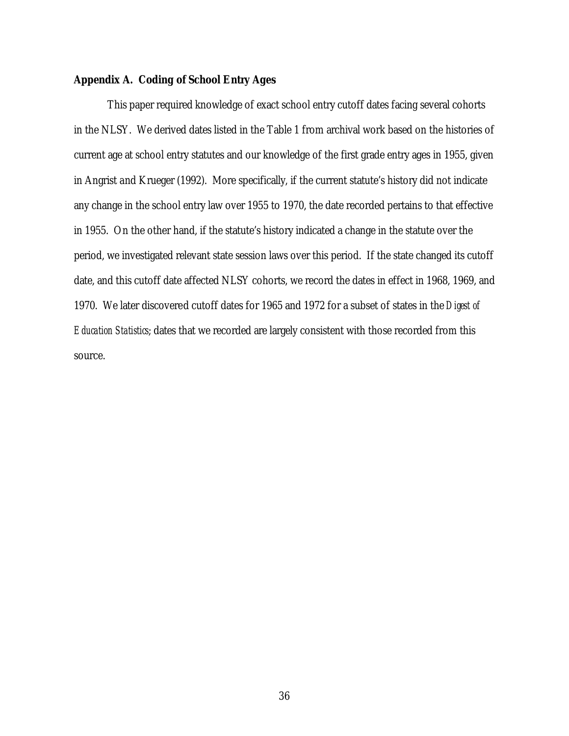#### **Appendix A. Coding of School Entry Ages**

This paper required knowledge of exact school entry cutoff dates facing several cohorts in the NLSY. We derived dates listed in the Table 1 from archival work based on the histories of current age at school entry statutes and our knowledge of the first grade entry ages in 1955, given in Angrist and Krueger (1992). More specifically, if the current statute's history did not indicate any change in the school entry law over 1955 to 1970, the date recorded pertains to that effective in 1955. On the other hand, if the statute's history indicated a change in the statute over the period, we investigated relevant state session laws over this period. If the state changed its cutoff date, and this cutoff date affected NLSY cohorts, we record the dates in effect in 1968, 1969, and 1970. We later discovered cutoff dates for 1965 and 1972 for a subset of states in the *Digest of Education Statistics*; dates that we recorded are largely consistent with those recorded from this source.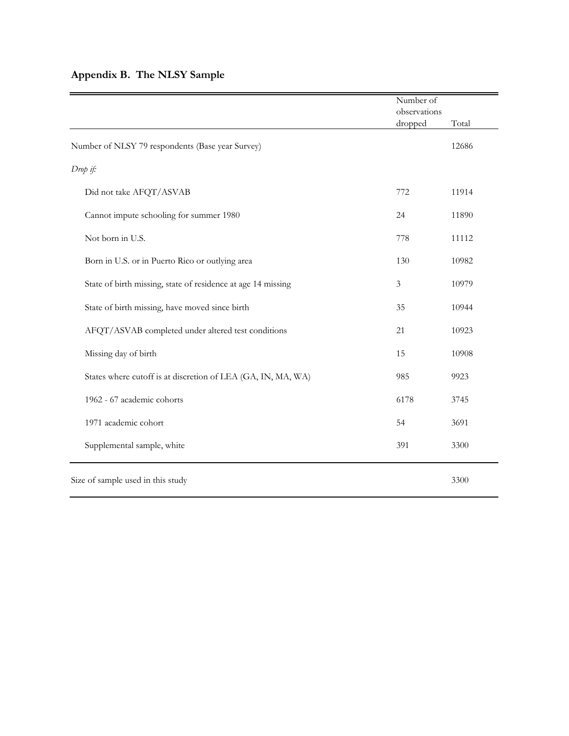## **Appendix B. The NLSY Sample**

|                                                              | Number of<br>observations |       |
|--------------------------------------------------------------|---------------------------|-------|
|                                                              | dropped                   | Total |
| Number of NLSY 79 respondents (Base year Survey)             |                           | 12686 |
| Drop if:                                                     |                           |       |
| Did not take AFQT/ASVAB                                      | 772                       | 11914 |
| Cannot impute schooling for summer 1980                      | 24                        | 11890 |
| Not born in U.S.                                             | 778                       | 11112 |
| Born in U.S. or in Puerto Rico or outlying area              | 130                       | 10982 |
| State of birth missing, state of residence at age 14 missing | 3                         | 10979 |
| State of birth missing, have moved since birth               | 35                        | 10944 |
| AFQT/ASVAB completed under altered test conditions           | 21                        | 10923 |
| Missing day of birth                                         | 15                        | 10908 |
| States where cutoff is at discretion of LEA (GA, IN, MA, WA) | 985                       | 9923  |
| 1962 - 67 academic cohorts                                   | 6178                      | 3745  |
| 1971 academic cohort                                         | 54                        | 3691  |
| Supplemental sample, white                                   | 391                       | 3300  |
| Size of sample used in this study                            |                           | 3300  |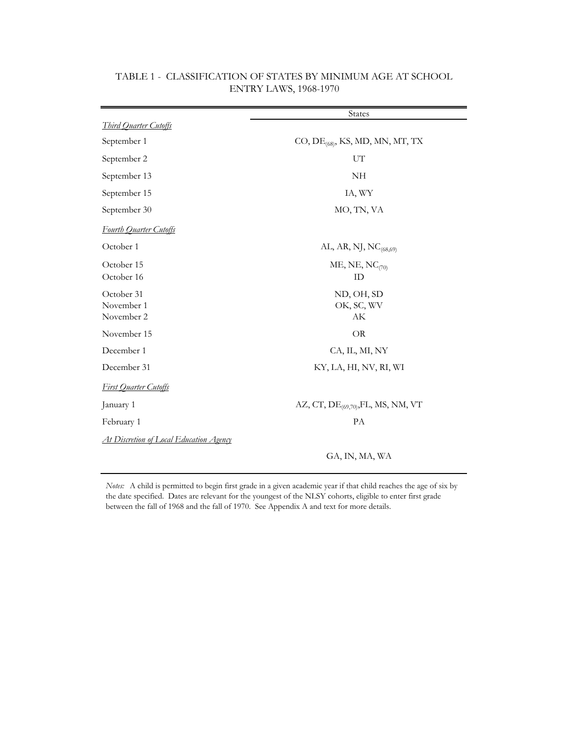|                                                | <b>States</b>                                      |
|------------------------------------------------|----------------------------------------------------|
| Third Quarter Cutoffs                          |                                                    |
| September 1                                    | CO, $DE_{(68)}$ , KS, MD, MN, MT, TX               |
| September 2                                    | UT                                                 |
| September 13                                   | NH                                                 |
| September 15                                   | IA, WY                                             |
| September 30                                   | MO, TN, VA                                         |
| <b>Fourth Quarter Cutoffs</b>                  |                                                    |
| October 1                                      | AL, AR, NJ, NC <sub>(68,69)</sub>                  |
| October 15<br>October 16                       | ME, NE, $NC_{(70)}$<br>ID                          |
| October 31<br>November 1<br>November 2         | ND, OH, SD<br>OK, SC, WV<br>$\mathbf{A}\mathbf{K}$ |
| November 15                                    | OR                                                 |
| December 1                                     | CA, IL, MI, NY                                     |
| December 31                                    | KY, LA, HI, NV, RI, WI                             |
| <b>First Quarter Cutoffs</b>                   |                                                    |
| January 1                                      | AZ, CT, $DE_{(69,70)}$ , FL, MS, NM, VT            |
| February 1                                     | PA                                                 |
| <u>At Discretion of Local Education Agency</u> |                                                    |
|                                                | GA, IN, MA, WA                                     |

## TABLE 1 - CLASSIFICATION OF STATES BY MINIMUM AGE AT SCHOOL ENTRY LAWS, 1968-1970

*Notes:* A child is permitted to begin first grade in a given academic year if that child reaches the age of six by the date specified. Dates are relevant for the youngest of the NLSY cohorts, eligible to enter first grade between the fall of 1968 and the fall of 1970. See Appendix A and text for more details.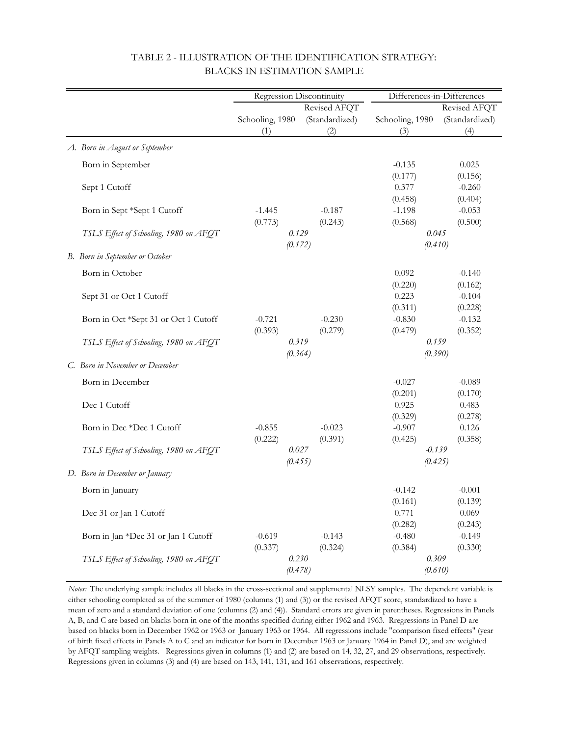|                                        |                     | Regression Discontinuity | Differences-in-Differences |                  |
|----------------------------------------|---------------------|--------------------------|----------------------------|------------------|
|                                        |                     | Revised AFQT             |                            | Revised AFQT     |
|                                        | Schooling, 1980     | (Standardized)           | Schooling, 1980            | (Standardized)   |
|                                        | (1)                 | (2)                      | (3)                        | (4)              |
| A. Born in August or September         |                     |                          |                            |                  |
| Born in September                      |                     |                          | $-0.135$                   | 0.025            |
|                                        |                     |                          | (0.177)                    | (0.156)          |
| Sept 1 Cutoff                          |                     |                          | 0.377                      | $-0.260$         |
|                                        |                     |                          | (0.458)                    | (0.404)          |
| Born in Sept *Sept 1 Cutoff            | $-1.445$            | $-0.187$                 | $-1.198$                   | $-0.053$         |
|                                        | (0.773)             | (0.243)                  | (0.568)                    | (0.500)          |
| TSLS Effect of Schooling, 1980 on AFQT |                     | 0.129                    | 0.045                      |                  |
|                                        |                     | (0.172)                  | (0.410)                    |                  |
| B. Born in September or October        |                     |                          |                            |                  |
| Born in October                        |                     |                          | 0.092                      | $-0.140$         |
|                                        |                     |                          | (0.220)                    | (0.162)          |
| Sept 31 or Oct 1 Cutoff                |                     |                          | 0.223                      | $-0.104$         |
|                                        |                     |                          | (0.311)                    | (0.228)          |
| Born in Oct *Sept 31 or Oct 1 Cutoff   | $-0.721$            | $-0.230$                 | $-0.830$                   | $-0.132$         |
|                                        | (0.393)             | (0.279)                  | (0.479)                    | (0.352)          |
| TSLS Effect of Schooling, 1980 on AFQT |                     | 0.319                    | 0.159                      |                  |
| C. Born in November or December        |                     | (0.364)                  | (0.390)                    |                  |
|                                        |                     |                          |                            |                  |
| Born in December                       |                     |                          | $-0.027$                   | $-0.089$         |
|                                        |                     |                          | (0.201)                    | (0.170)          |
| Dec 1 Cutoff                           |                     |                          | 0.925                      | 0.483            |
|                                        |                     |                          | (0.329)                    | (0.278)          |
| Born in Dec *Dec 1 Cutoff              | $-0.855$<br>(0.222) | $-0.023$<br>(0.391)      | $-0.907$<br>(0.425)        | 0.126<br>(0.358) |
| TSLS Effect of Schooling, 1980 on AFOT |                     | 0.027                    | $-0.139$                   |                  |
|                                        |                     | (0.455)                  | (0.425)                    |                  |
| D. Born in December or January         |                     |                          |                            |                  |
| Born in January                        |                     |                          | $-0.142$                   | $-0.001$         |
|                                        |                     |                          | (0.161)                    | (0.139)          |
| Dec 31 or Jan 1 Cutoff                 |                     |                          | 0.771                      | 0.069            |
|                                        |                     |                          | (0.282)                    | (0.243)          |
| Born in Jan *Dec 31 or Jan 1 Cutoff    | $-0.619$            | $-0.143$                 | $-0.480$                   | $-0.149$         |
|                                        | (0.337)             | (0.324)                  | (0.384)                    | (0.330)          |
| TSLS Effect of Schooling, 1980 on AFQT |                     | 0.230                    | 0.309                      |                  |
|                                        |                     | (0.478)                  | (0.610)                    |                  |

## TABLE 2 - ILLUSTRATION OF THE IDENTIFICATION STRATEGY: BLACKS IN ESTIMATION SAMPLE

*Notes:* The underlying sample includes all blacks in the cross-sectional and supplemental NLSY samples. The dependent variable is either schooling completed as of the summer of 1980 (columns (1) and (3)) or the revised AFQT score, standardized to have a mean of zero and a standard deviation of one (columns (2) and (4)). Standard errors are given in parentheses. Regressions in Panels A, B, and C are based on blacks born in one of the months specified during either 1962 and 1963. Rregressions in Panel D are based on blacks born in December 1962 or 1963 or January 1963 or 1964. All regressions include "comparison fixed effects" (year of birth fixed effects in Panels A to C and an indicator for born in December 1963 or January 1964 in Panel D), and are weighted by AFQT sampling weights. Regressions given in columns (1) and (2) are based on 14, 32, 27, and 29 observations, respectively. Regressions given in columns (3) and (4) are based on 143, 141, 131, and 161 observations, respectively.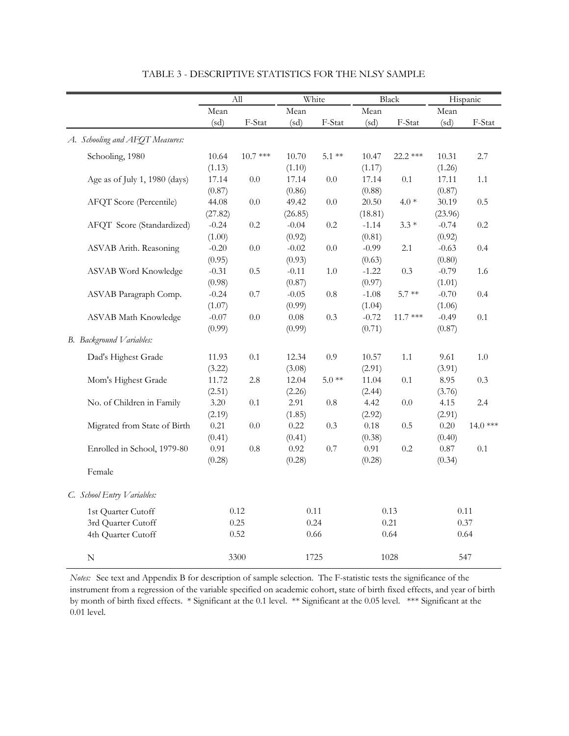|                                 |         | All       | White        |         |          | Black     |          | Hispanic  |
|---------------------------------|---------|-----------|--------------|---------|----------|-----------|----------|-----------|
|                                 | Mean    |           | ${\it Mean}$ |         | Mean     |           | Mean     |           |
|                                 | (sd)    | F-Stat    | (sd)         | F-Stat  | (sd)     | F-Stat    | (sd)     | F-Stat    |
| A. Schooling and AFOT Measures: |         |           |              |         |          |           |          |           |
| Schooling, 1980                 | 10.64   | $10.7***$ | 10.70        | $5.1**$ | 10.47    | 22.2 ***  | 10.31    | 2.7       |
|                                 | (1.13)  |           | (1.10)       |         | (1.17)   |           | (1.26)   |           |
| Age as of July 1, 1980 (days)   | 17.14   | $0.0\,$   | 17.14        | $0.0\,$ | 17.14    | 0.1       | 17.11    | $1.1\,$   |
|                                 | (0.87)  |           | (0.86)       |         | (0.88)   |           | (0.87)   |           |
| AFQT Score (Percentile)         | 44.08   | $0.0\,$   | 49.42        | $0.0\,$ | 20.50    | $4.0*$    | 30.19    | 0.5       |
|                                 | (27.82) |           | (26.85)      |         | (18.81)  |           | (23.96)  |           |
| AFQT Score (Standardized)       | $-0.24$ | 0.2       | $-0.04$      | 0.2     | $-1.14$  | $3.3*$    | $-0.74$  | 0.2       |
|                                 | (1.00)  |           | (0.92)       |         | (0.81)   |           | (0.92)   |           |
| ASVAB Arith. Reasoning          | $-0.20$ | $0.0\,$   | $-0.02$      | $0.0\,$ | $-0.99$  | 2.1       | $-0.63$  | 0.4       |
|                                 | (0.95)  |           | (0.93)       |         | (0.63)   |           | (0.80)   |           |
| <b>ASVAB</b> Word Knowledge     | $-0.31$ | 0.5       | $-0.11$      | $1.0\,$ | $-1.22$  | 0.3       | $-0.79$  | 1.6       |
|                                 | (0.98)  |           | (0.87)       |         | (0.97)   |           | (1.01)   |           |
| ASVAB Paragraph Comp.           | $-0.24$ | $0.7\,$   | $-0.05$      | $0.8\,$ | $-1.08$  | $5.7**$   | $-0.70$  | 0.4       |
|                                 | (1.07)  |           | (0.99)       |         | (1.04)   |           | (1.06)   |           |
| ASVAB Math Knowledge            | $-0.07$ | 0.0       | 0.08         | 0.3     | $-0.72$  | $11.7***$ | $-0.49$  | 0.1       |
|                                 | (0.99)  |           | (0.99)       |         | (0.71)   |           | (0.87)   |           |
| B. Background Variables:        |         |           |              |         |          |           |          |           |
| Dad's Highest Grade             | 11.93   | $0.1\,$   | 12.34        | 0.9     | 10.57    | 1.1       | 9.61     | 1.0       |
|                                 | (3.22)  |           | (3.08)       |         | (2.91)   |           | (3.91)   |           |
| Mom's Highest Grade             | 11.72   | $2.8\,$   | 12.04        | $5.0**$ | 11.04    | 0.1       | 8.95     | 0.3       |
|                                 | (2.51)  |           | (2.26)       |         | (2.44)   |           | (3.76)   |           |
| No. of Children in Family       | 3.20    | 0.1       | 2.91         | $0.8\,$ | 4.42     | $0.0\,$   | 4.15     | 2.4       |
|                                 | (2.19)  |           | (1.85)       |         | (2.92)   |           | (2.91)   |           |
| Migrated from State of Birth    | 0.21    | $0.0\,$   | 0.22         | 0.3     | $0.18\,$ | 0.5       | $0.20\,$ | $14.0***$ |
|                                 | (0.41)  |           | (0.41)       |         | (0.38)   |           | (0.40)   |           |
| Enrolled in School, 1979-80     | 0.91    | 0.8       | 0.92         | 0.7     | 0.91     | 0.2       | 0.87     | 0.1       |
|                                 | (0.28)  |           | (0.28)       |         | (0.28)   |           | (0.34)   |           |
| Female                          |         |           |              |         |          |           |          |           |
| C. School Entry Variables:      |         |           |              |         |          |           |          |           |
| 1st Quarter Cutoff              |         | 0.12      | 0.11         |         |          | 0.13      |          | 0.11      |
| 3rd Quarter Cutoff              |         | 0.25      | 0.24         |         |          | 0.21      |          | 0.37      |
| 4th Quarter Cutoff              |         | 0.52      | $0.66\,$     |         |          | 0.64      |          | $0.64\,$  |
|                                 |         |           |              |         |          |           |          |           |
| ${\bf N}$                       |         | 3300      | 1725         |         |          | 1028      |          | 547       |

TABLE 3 - DESCRIPTIVE STATISTICS FOR THE NLSY SAMPLE

*Notes:* See text and Appendix B for description of sample selection. The F-statistic tests the significance of the instrument from a regression of the variable specified on academic cohort, state of birth fixed effects, and year of birth by month of birth fixed effects. \* Significant at the 0.1 level. \*\* Significant at the 0.05 level. \*\*\* Significant at the 0.01 level.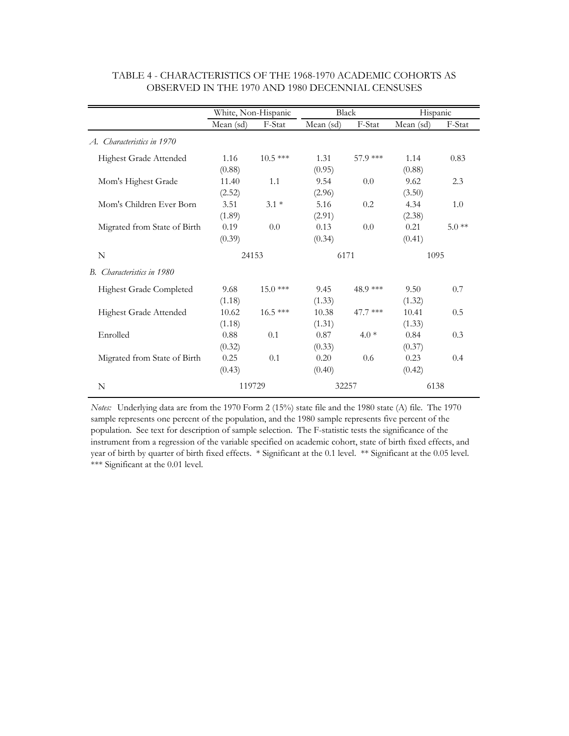|                               | White, Non-Hispanic |           | <b>Black</b> |          | Hispanic  |         |
|-------------------------------|---------------------|-----------|--------------|----------|-----------|---------|
|                               | Mean (sd)           | F-Stat    | Mean (sd)    | F-Stat   | Mean (sd) | F-Stat  |
| Characteristics in 1970<br>A. |                     |           |              |          |           |         |
| Highest Grade Attended        | 1.16                | $10.5***$ | 1.31         | 57.9 *** | 1.14      | 0.83    |
|                               | (0.88)              |           | (0.95)       |          | (0.88)    |         |
| Mom's Highest Grade           | 11.40               | 1.1       | 9.54         | 0.0      | 9.62      | 2.3     |
|                               | (2.52)              |           | (2.96)       |          | (3.50)    |         |
| Mom's Children Ever Born      | 3.51                | $3.1*$    | 5.16         | 0.2      | 4.34      | 1.0     |
|                               | (1.89)              |           | (2.91)       |          | (2.38)    |         |
| Migrated from State of Birth  | 0.19                | 0.0       | 0.13         | 0.0      | 0.21      | $5.0**$ |
|                               | (0.39)              |           | (0.34)       |          | (0.41)    |         |
| N                             | 24153               |           | 6171         |          | 1095      |         |
| B. Characteristics in 1980    |                     |           |              |          |           |         |
| Highest Grade Completed       | 9.68                | $15.0***$ | 9.45         | 48.9 *** | 9.50      | 0.7     |
|                               | (1.18)              |           | (1.33)       |          | (1.32)    |         |
| Highest Grade Attended        | 10.62               | $16.5***$ | 10.38        | 47.7 *** | 10.41     | 0.5     |
|                               | (1.18)              |           | (1.31)       |          | (1.33)    |         |
| Enrolled                      | 0.88                | 0.1       | 0.87         | $4.0*$   | 0.84      | 0.3     |
|                               | (0.32)              |           | (0.33)       |          | (0.37)    |         |
| Migrated from State of Birth  | 0.25                | 0.1       | 0.20         | 0.6      | 0.23      | 0.4     |
|                               | (0.43)              |           | (0.40)       |          | (0.42)    |         |
| N                             | 119729              |           | 32257        |          | 6138      |         |

#### TABLE 4 - CHARACTERISTICS OF THE 1968-1970 ACADEMIC COHORTS AS OBSERVED IN THE 1970 AND 1980 DECENNIAL CENSUSES

*Notes:* Underlying data are from the 1970 Form 2 (15%) state file and the 1980 state (A) file. The 1970 sample represents one percent of the population, and the 1980 sample represents five percent of the population. See text for description of sample selection. The F-statistic tests the significance of the instrument from a regression of the variable specified on academic cohort, state of birth fixed effects, and year of birth by quarter of birth fixed effects. \* Significant at the 0.1 level. \*\* Significant at the 0.05 level. \*\*\* Significant at the 0.01 level.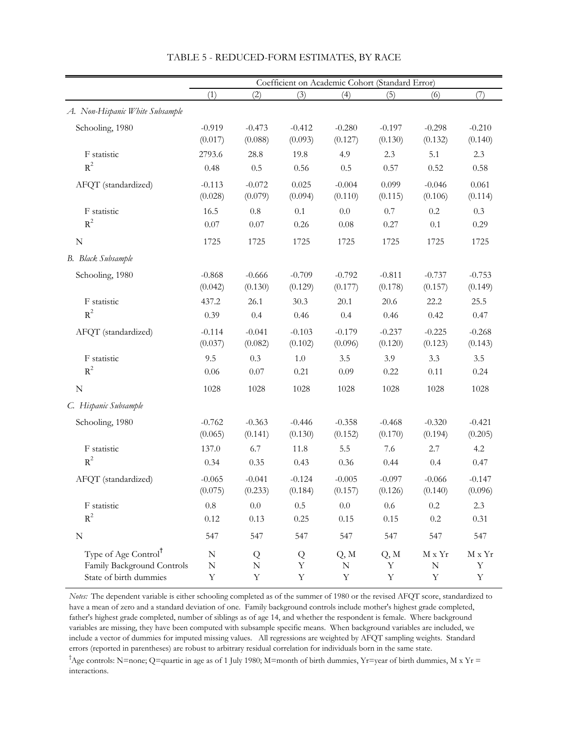|                                  |             |             |             | Coefficient on Academic Cohort (Standard Error) |             |                                     |             |
|----------------------------------|-------------|-------------|-------------|-------------------------------------------------|-------------|-------------------------------------|-------------|
|                                  | (1)         | (2)         | (3)         | (4)                                             | (5)         | (6)                                 | (7)         |
| A. Non-Hispanic White Subsample  |             |             |             |                                                 |             |                                     |             |
| Schooling, 1980                  | $-0.919$    | $-0.473$    | $-0.412$    | $-0.280$                                        | $-0.197$    | $-0.298$                            | $-0.210$    |
|                                  | (0.017)     | (0.088)     | (0.093)     | (0.127)                                         | (0.130)     | (0.132)                             | (0.140)     |
| F statistic                      | 2793.6      | 28.8        | 19.8        | 4.9                                             | 2.3         | 5.1                                 | 2.3         |
| $R^2$                            | 0.48        | 0.5         | 0.56        | 0.5                                             | 0.57        | 0.52                                | 0.58        |
| AFQT (standardized)              | $-0.113$    | $-0.072$    | 0.025       | $-0.004$                                        | 0.099       | $-0.046$                            | 0.061       |
|                                  | (0.028)     | (0.079)     | (0.094)     | (0.110)                                         | (0.115)     | (0.106)                             | (0.114)     |
| F statistic                      | 16.5        | 0.8         | 0.1         | 0.0                                             | $0.7\,$     | 0.2                                 | 0.3         |
| $R^2$                            | 0.07        | 0.07        | 0.26        | 0.08                                            | 0.27        | 0.1                                 | 0.29        |
| ${\bf N}$                        | 1725        | 1725        | 1725        | 1725                                            | 1725        | 1725                                | 1725        |
| B. Black Subsample               |             |             |             |                                                 |             |                                     |             |
| Schooling, 1980                  | $-0.868$    | $-0.666$    | $-0.709$    | $-0.792$                                        | $-0.811$    | $-0.737$                            | $-0.753$    |
|                                  | (0.042)     | (0.130)     | (0.129)     | (0.177)                                         | (0.178)     | (0.157)                             | (0.149)     |
| F statistic                      | 437.2       | 26.1        | 30.3        | 20.1                                            | 20.6        | 22.2                                | 25.5        |
| $R^2$                            | 0.39        | 0.4         | 0.46        | 0.4                                             | 0.46        | 0.42                                | 0.47        |
| AFQT (standardized)              | $-0.114$    | $-0.041$    | $-0.103$    | $-0.179$                                        | $-0.237$    | $-0.225$                            | $-0.268$    |
|                                  | (0.037)     | (0.082)     | (0.102)     | (0.096)                                         | (0.120)     | (0.123)                             | (0.143)     |
| F statistic                      | 9.5         | 0.3         | $1.0\,$     | 3.5                                             | 3.9         | 3.3                                 | 3.5         |
| $R^2$                            | 0.06        | $0.07\,$    | 0.21        | 0.09                                            | 0.22        | 0.11                                | 0.24        |
| $\mathbf N$                      | 1028        | 1028        | 1028        | 1028                                            | 1028        | 1028                                | 1028        |
| C. Hispanic Subsample            |             |             |             |                                                 |             |                                     |             |
| Schooling, 1980                  | $-0.762$    | $-0.363$    | $-0.446$    | $-0.358$                                        | $-0.468$    | $-0.320$                            | $-0.421$    |
|                                  | (0.065)     | (0.141)     | (0.130)     | (0.152)                                         | (0.170)     | (0.194)                             | (0.205)     |
| F statistic                      | 137.0       | 6.7         | 11.8        | 5.5                                             | 7.6         | 2.7                                 | 4.2         |
| $R^2$                            | 0.34        | 0.35        | 0.43        | 0.36                                            | 0.44        | 0.4                                 | 0.47        |
| AFQT (standardized)              | $-0.065$    | $-0.041$    | $-0.124$    | $-0.005$                                        | $-0.097$    | $-0.066$                            | $-0.147$    |
|                                  | (0.075)     | (0.233)     | (0.184)     | (0.157)                                         | (0.126)     | (0.140)                             | (0.096)     |
| F statistic                      | $0.8\,$     | $0.0\,$     | 0.5         | 0.0                                             | $0.6\,$     | $0.2\,$                             | 2.3         |
| $R^2$                            | 0.12        | 0.13        | 0.25        | 0.15                                            | 0.15        | $0.2\,$                             | 0.31        |
| ${\bf N}$                        | 547         | 547         | 547         | 547                                             | 547         | 547                                 | 547         |
| Type of Age Control <sup>†</sup> | N           | Q           | Q           | Q, M                                            | Q, M        | $\mathbf{M}\ge\mathbf{Y}\mathbf{r}$ | M x Yr      |
| Family Background Controls       | $\mathbf N$ | ${\bf N}$   | Υ           | ${\bf N}$                                       | $\mathbf Y$ | $\mathbf N$                         | $\mathbf Y$ |
| State of birth dummies           | $\mathbf Y$ | $\mathbf Y$ | $\mathbf Y$ | $\mathbf Y$                                     | $\mathbf Y$ | $\mathbf Y$                         | $\mathbf Y$ |

#### TABLE 5 - REDUCED-FORM ESTIMATES, BY RACE

*Notes:* The dependent variable is either schooling completed as of the summer of 1980 or the revised AFQT score, standardized to have a mean of zero and a standard deviation of one. Family background controls include mother's highest grade completed, father's highest grade completed, number of siblings as of age 14, and whether the respondent is female. Where background variables are missing, they have been computed with subsample specific means. When background variables are included, we include a vector of dummies for imputed missing values. All regressions are weighted by AFQT sampling weights. Standard errors (reported in parentheses) are robust to arbitrary residual correlation for individuals born in the same state.

† Age controls: N=none; Q=quartic in age as of 1 July 1980; M=month of birth dummies, Yr=year of birth dummies, M x Yr = interactions.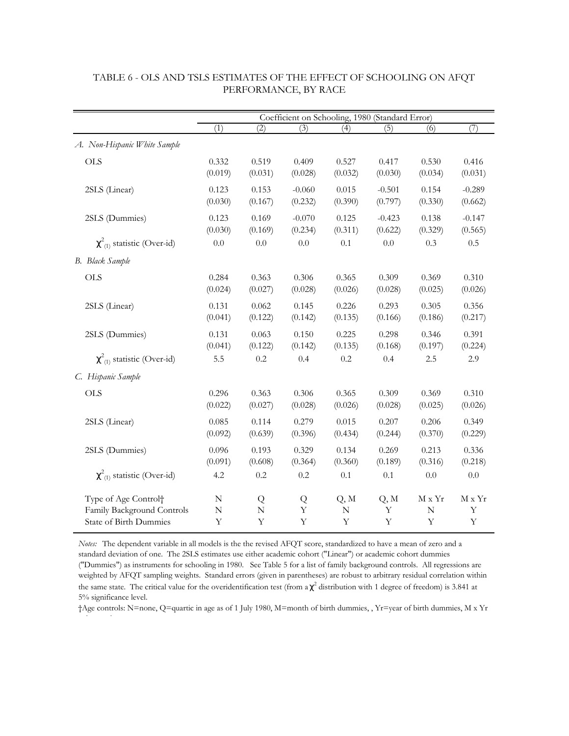|                                    | Coefficient on Schooling, 1980 (Standard Error) |             |          |                  |             |                  |             |  |  |  |
|------------------------------------|-------------------------------------------------|-------------|----------|------------------|-------------|------------------|-------------|--|--|--|
|                                    | (1)                                             | (2)         | (3)      | $\overline{(4)}$ | (5)         | $\overline{(6)}$ | (7)         |  |  |  |
| A. Non-Hispanic White Sample       |                                                 |             |          |                  |             |                  |             |  |  |  |
| <b>OLS</b>                         | 0.332                                           | 0.519       | 0.409    | 0.527            | 0.417       | 0.530            | 0.416       |  |  |  |
|                                    | (0.019)                                         | (0.031)     | (0.028)  | (0.032)          | (0.030)     | (0.034)          | (0.031)     |  |  |  |
| 2SLS (Linear)                      | 0.123                                           | 0.153       | $-0.060$ | 0.015            | $-0.501$    | 0.154            | $-0.289$    |  |  |  |
|                                    | (0.030)                                         | (0.167)     | (0.232)  | (0.390)          | (0.797)     | (0.330)          | (0.662)     |  |  |  |
| 2SLS (Dummies)                     | 0.123                                           | 0.169       | $-0.070$ | 0.125            | $-0.423$    | 0.138            | $-0.147$    |  |  |  |
|                                    | (0.030)                                         | (0.169)     | (0.234)  | (0.311)          | (0.622)     | (0.329)          | (0.565)     |  |  |  |
| $\chi^2_{(1)}$ statistic (Over-id) | $0.0\,$                                         | 0.0         | 0.0      | 0.1              | 0.0         | 0.3              | 0.5         |  |  |  |
| B. Black Sample                    |                                                 |             |          |                  |             |                  |             |  |  |  |
| <b>OLS</b>                         | 0.284                                           | 0.363       | 0.306    | 0.365            | 0.309       | 0.369            | 0.310       |  |  |  |
|                                    | (0.024)                                         | (0.027)     | (0.028)  | (0.026)          | (0.028)     | (0.025)          | (0.026)     |  |  |  |
| 2SLS (Linear)                      | 0.131                                           | 0.062       | 0.145    | 0.226            | 0.293       | 0.305            | 0.356       |  |  |  |
|                                    | (0.041)                                         | (0.122)     | (0.142)  | (0.135)          | (0.166)     | (0.186)          | (0.217)     |  |  |  |
| 2SLS (Dummies)                     | 0.131                                           | 0.063       | 0.150    | 0.225            | 0.298       | 0.346            | 0.391       |  |  |  |
|                                    | (0.041)                                         | (0.122)     | (0.142)  | (0.135)          | (0.168)     | (0.197)          | (0.224)     |  |  |  |
| $\chi^2_{(1)}$ statistic (Over-id) | 5.5                                             | 0.2         | 0.4      | 0.2              | 0.4         | 2.5              | 2.9         |  |  |  |
| C. Hispanic Sample                 |                                                 |             |          |                  |             |                  |             |  |  |  |
| <b>OLS</b>                         | 0.296                                           | 0.363       | 0.306    | 0.365            | 0.309       | 0.369            | 0.310       |  |  |  |
|                                    | (0.022)                                         | (0.027)     | (0.028)  | (0.026)          | (0.028)     | (0.025)          | (0.026)     |  |  |  |
| 2SLS (Linear)                      | 0.085                                           | 0.114       | 0.279    | 0.015            | 0.207       | 0.206            | 0.349       |  |  |  |
|                                    | (0.092)                                         | (0.639)     | (0.396)  | (0.434)          | (0.244)     | (0.370)          | (0.229)     |  |  |  |
| 2SLS (Dummies)                     | 0.096                                           | 0.193       | 0.329    | 0.134            | 0.269       | 0.213            | 0.336       |  |  |  |
|                                    | (0.091)                                         | (0.608)     | (0.364)  | (0.360)          | (0.189)     | (0.316)          | (0.218)     |  |  |  |
| $\chi^2_{(1)}$ statistic (Over-id) | 4.2                                             | 0.2         | 0.2      | $0.1\,$          | 0.1         | 0.0              | 0.0         |  |  |  |
| Type of Age Control <sup>+</sup>   | N                                               | Q           | Q        | Q, M             | Q, M        | $M \times Yr$    | M x Yr      |  |  |  |
| Family Background Controls         | $\mathbf N$                                     | $\mathbb N$ | Y        | $\mathbf N$      | Y           | N                | Y           |  |  |  |
| State of Birth Dummies             | $\mathbf Y$                                     | Y           | Y        | $\mathbf Y$      | $\mathbf Y$ | Y                | $\mathbf Y$ |  |  |  |

#### TABLE 6 - OLS AND TSLS ESTIMATES OF THE EFFECT OF SCHOOLING ON AFQT PERFORMANCE, BY RACE

*Notes:* The dependent variable in all models is the the revised AFQT score, standardized to have a mean of zero and a standard deviation of one. The 2SLS estimates use either academic cohort ("Linear") or academic cohort dummies ("Dummies") as instruments for schooling in 1980. See Table 5 for a list of family background controls. All regressions are weighted by AFQT sampling weights. Standard errors (given in parentheses) are robust to arbitrary residual correlation within the same state. The critical value for the overidentification test (from  $a \chi^2$  distribution with 1 degree of freedom) is 3.841 at 5% significance level.

†Age controls: N=none, Q=quartic in age as of 1 July 1980, M=month of birth dummies, , Yr=year of birth dummies, M x Yr

i i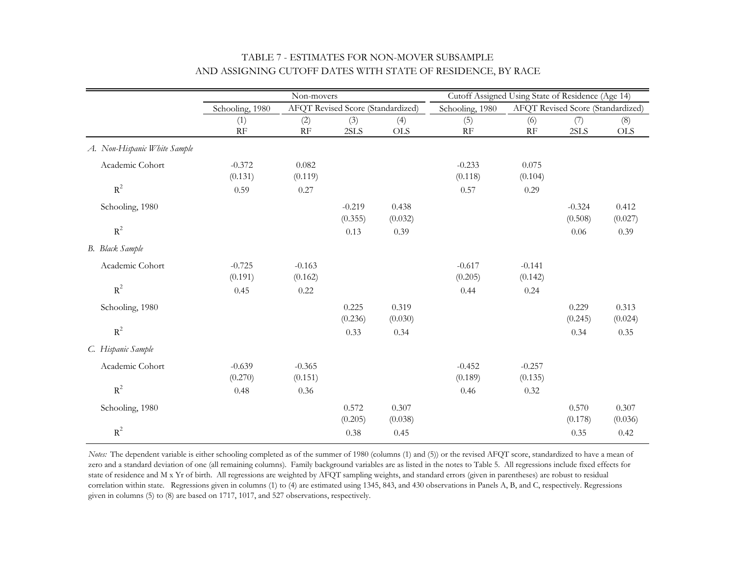|                              |                 | Non-movers |                                   |            | Cutoff Assigned Using State of Residence (Age 14) |          |                                   |            |
|------------------------------|-----------------|------------|-----------------------------------|------------|---------------------------------------------------|----------|-----------------------------------|------------|
|                              | Schooling, 1980 |            | AFQT Revised Score (Standardized) |            | Schooling, 1980                                   |          | AFQT Revised Score (Standardized) |            |
|                              | (1)             | (2)        | (3)                               | (4)        | (5)                                               | (6)      | (7)                               | (8)        |
|                              | RF              | RF         | 2SLS                              | <b>OLS</b> | RF                                                | RF       | 2SLS                              | <b>OLS</b> |
| A. Non-Hispanic White Sample |                 |            |                                   |            |                                                   |          |                                   |            |
| Academic Cohort              | $-0.372$        | 0.082      |                                   |            | $-0.233$                                          | 0.075    |                                   |            |
|                              | (0.131)         | (0.119)    |                                   |            | (0.118)                                           | (0.104)  |                                   |            |
| $R^2$                        | 0.59            | 0.27       |                                   |            | 0.57                                              | 0.29     |                                   |            |
| Schooling, 1980              |                 |            | $-0.219$                          | 0.438      |                                                   |          | $-0.324$                          | 0.412      |
|                              |                 |            | (0.355)                           | (0.032)    |                                                   |          | (0.508)                           | (0.027)    |
| $R^2$                        |                 |            | 0.13                              | 0.39       |                                                   |          | 0.06                              | 0.39       |
| B. Black Sample              |                 |            |                                   |            |                                                   |          |                                   |            |
| Academic Cohort              | $-0.725$        | $-0.163$   |                                   |            | $-0.617$                                          | $-0.141$ |                                   |            |
|                              | (0.191)         | (0.162)    |                                   |            | (0.205)                                           | (0.142)  |                                   |            |
| $R^2$                        | 0.45            | 0.22       |                                   |            | 0.44                                              | 0.24     |                                   |            |
| Schooling, 1980              |                 |            | 0.225                             | 0.319      |                                                   |          | 0.229                             | 0.313      |
|                              |                 |            | (0.236)                           | (0.030)    |                                                   |          | (0.245)                           | (0.024)    |
| $R^2$                        |                 |            | 0.33                              | 0.34       |                                                   |          | 0.34                              | 0.35       |
| C. Hispanic Sample           |                 |            |                                   |            |                                                   |          |                                   |            |
| Academic Cohort              | $-0.639$        | $-0.365$   |                                   |            | $-0.452$                                          | $-0.257$ |                                   |            |
|                              | (0.270)         | (0.151)    |                                   |            | (0.189)                                           | (0.135)  |                                   |            |
| $R^2$                        | 0.48            | 0.36       |                                   |            | 0.46                                              | 0.32     |                                   |            |
| Schooling, 1980              |                 |            | 0.572                             | 0.307      |                                                   |          | 0.570                             | 0.307      |
|                              |                 |            | (0.205)                           | (0.038)    |                                                   |          | (0.178)                           | (0.036)    |
| $R^2$                        |                 |            | 0.38                              | 0.45       |                                                   |          | 0.35                              | 0.42       |

## TABLE 7 - ESTIMATES FOR NON-MOVER SUBSAMPLE AND ASSIGNING CUTOFF DATES WITH STATE OF RESIDENCE, BY RACE

*Notes:* The dependent variable is either schooling completed as of the summer of 1980 (columns (1) and (5)) or the revised AFQT score, standardized to have a mean of zero and a standard deviation of one (all remaining columns). Family background variables are as listed in the notes to Table 5. All regressions include fixed effects for state of residence and M x Yr of birth. All regressions are weighted by AFQT sampling weights, and standard errors (given in parentheses) are robust to residual correlation within state. Regressions given in columns (1) to (4) are estimated using 1345, 843, and 430 observations in Panels A, B, and C, respectively. Regressions given in columns (5) to (8) are based on 1717, 1017, and 527 observations, respectively.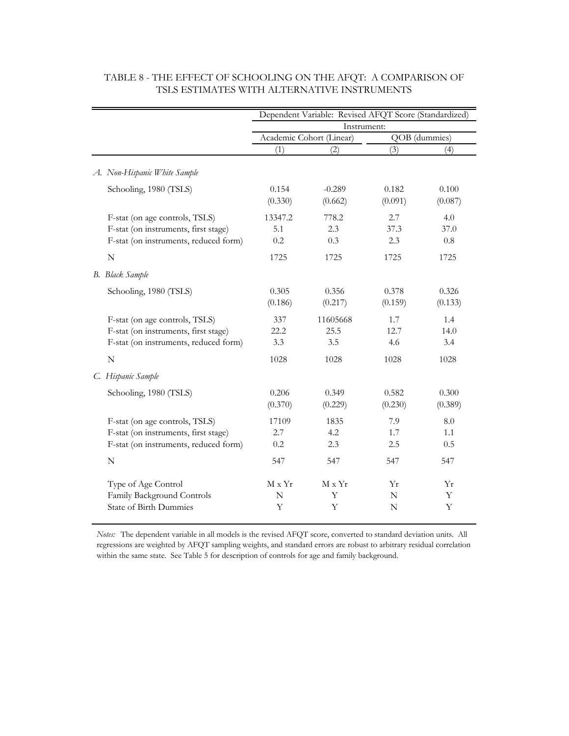|                                                                                                                                |                               | Dependent Variable: Revised AFQT Score (Standardized) |                            |                            |  |  |
|--------------------------------------------------------------------------------------------------------------------------------|-------------------------------|-------------------------------------------------------|----------------------------|----------------------------|--|--|
|                                                                                                                                |                               | Instrument:                                           |                            |                            |  |  |
|                                                                                                                                |                               | Academic Cohort (Linear)                              |                            | QOB (dummies)              |  |  |
|                                                                                                                                | (1)                           | (2)                                                   | (3)                        | (4)                        |  |  |
| A. Non-Hispanic White Sample                                                                                                   |                               |                                                       |                            |                            |  |  |
| Schooling, 1980 (TSLS)                                                                                                         | 0.154<br>(0.330)              | $-0.289$<br>(0.662)                                   | 0.182<br>(0.091)           | 0.100<br>(0.087)           |  |  |
| F-stat (on age controls, TSLS)<br>F-stat (on instruments, first stage)<br>F-stat (on instruments, reduced form)<br>$\mathbf N$ | 13347.2<br>5.1<br>0.2<br>1725 | 778.2<br>2.3<br>0.3<br>1725                           | 2.7<br>37.3<br>2.3<br>1725 | 4.0<br>37.0<br>0.8<br>1725 |  |  |
| B. Black Sample                                                                                                                |                               |                                                       |                            |                            |  |  |
| Schooling, 1980 (TSLS)                                                                                                         | 0.305<br>(0.186)              | 0.356<br>(0.217)                                      | 0.378<br>(0.159)           | 0.326<br>(0.133)           |  |  |
| F-stat (on age controls, TSLS)<br>F-stat (on instruments, first stage)<br>F-stat (on instruments, reduced form)                | 337<br>22.2<br>3.3            | 11605668<br>25.5<br>3.5                               | 1.7<br>12.7<br>4.6         | 1.4<br>14.0<br>3.4         |  |  |
| $\mathbf N$                                                                                                                    | 1028                          | 1028                                                  | 1028                       | 1028                       |  |  |
| C. Hispanic Sample                                                                                                             |                               |                                                       |                            |                            |  |  |
| Schooling, 1980 (TSLS)                                                                                                         | 0.206<br>(0.370)              | 0.349<br>(0.229)                                      | 0.582<br>(0.230)           | 0.300<br>(0.389)           |  |  |
| F-stat (on age controls, TSLS)<br>F-stat (on instruments, first stage)<br>F-stat (on instruments, reduced form)                | 17109<br>2.7<br>0.2           | 1835<br>4.2<br>2.3                                    | 7.9<br>1.7<br>2.5          | 8.0<br>1.1<br>0.5          |  |  |
| $\mathbf N$                                                                                                                    | 547                           | 547                                                   | 547                        | 547                        |  |  |
| Type of Age Control<br>Family Background Controls<br><b>State of Birth Dummies</b>                                             | M x Yr<br>N<br>Υ              | $M \times Yr$<br>Υ<br>Y                               | Yr<br>N<br>N               | Υr<br>Υ<br>Y               |  |  |

## TABLE 8 - THE EFFECT OF SCHOOLING ON THE AFQT: A COMPARISON OF TSLS ESTIMATES WITH ALTERNATIVE INSTRUMENTS

*Notes:* The dependent variable in all models is the revised AFQT score, converted to standard deviation units. All regressions are weighted by AFQT sampling weights, and standard errors are robust to arbitrary residual correlation within the same state. See Table 5 for description of controls for age and family background.